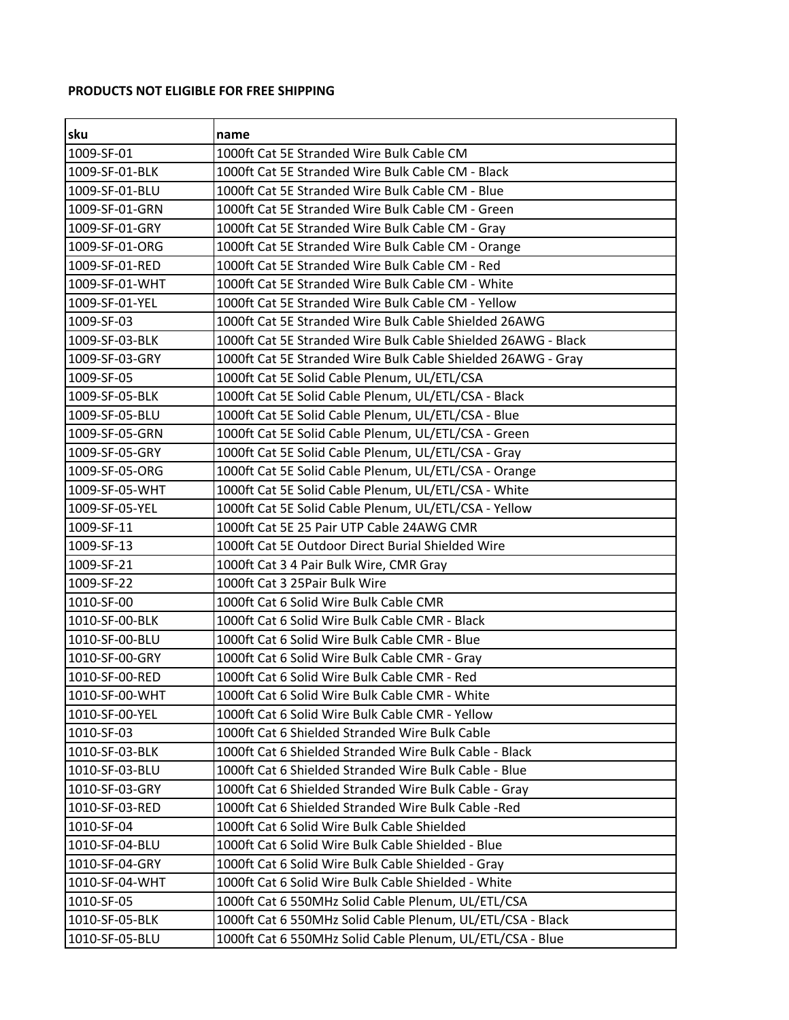## **PRODUCTS NOT ELIGIBLE FOR FREE SHIPPING**

| lsku           | name                                                          |
|----------------|---------------------------------------------------------------|
| 1009-SF-01     | 1000ft Cat 5E Stranded Wire Bulk Cable CM                     |
| 1009-SF-01-BLK | 1000ft Cat 5E Stranded Wire Bulk Cable CM - Black             |
| 1009-SF-01-BLU | 1000ft Cat 5E Stranded Wire Bulk Cable CM - Blue              |
| 1009-SF-01-GRN | 1000ft Cat 5E Stranded Wire Bulk Cable CM - Green             |
| 1009-SF-01-GRY | 1000ft Cat 5E Stranded Wire Bulk Cable CM - Gray              |
| 1009-SF-01-ORG | 1000ft Cat 5E Stranded Wire Bulk Cable CM - Orange            |
| 1009-SF-01-RED | 1000ft Cat 5E Stranded Wire Bulk Cable CM - Red               |
| 1009-SF-01-WHT | 1000ft Cat 5E Stranded Wire Bulk Cable CM - White             |
| 1009-SF-01-YEL | 1000ft Cat 5E Stranded Wire Bulk Cable CM - Yellow            |
| 1009-SF-03     | 1000ft Cat 5E Stranded Wire Bulk Cable Shielded 26AWG         |
| 1009-SF-03-BLK | 1000ft Cat 5E Stranded Wire Bulk Cable Shielded 26AWG - Black |
| 1009-SF-03-GRY | 1000ft Cat 5E Stranded Wire Bulk Cable Shielded 26AWG - Gray  |
| 1009-SF-05     | 1000ft Cat 5E Solid Cable Plenum, UL/ETL/CSA                  |
| 1009-SF-05-BLK | 1000ft Cat 5E Solid Cable Plenum, UL/ETL/CSA - Black          |
| 1009-SF-05-BLU | 1000ft Cat 5E Solid Cable Plenum, UL/ETL/CSA - Blue           |
| 1009-SF-05-GRN | 1000ft Cat 5E Solid Cable Plenum, UL/ETL/CSA - Green          |
| 1009-SF-05-GRY | 1000ft Cat 5E Solid Cable Plenum, UL/ETL/CSA - Gray           |
| 1009-SF-05-ORG | 1000ft Cat 5E Solid Cable Plenum, UL/ETL/CSA - Orange         |
| 1009-SF-05-WHT | 1000ft Cat 5E Solid Cable Plenum, UL/ETL/CSA - White          |
| 1009-SF-05-YEL | 1000ft Cat 5E Solid Cable Plenum, UL/ETL/CSA - Yellow         |
| 1009-SF-11     | 1000ft Cat 5E 25 Pair UTP Cable 24AWG CMR                     |
| 1009-SF-13     | 1000ft Cat 5E Outdoor Direct Burial Shielded Wire             |
| 1009-SF-21     | 1000ft Cat 3 4 Pair Bulk Wire, CMR Gray                       |
| 1009-SF-22     | 1000ft Cat 3 25Pair Bulk Wire                                 |
| 1010-SF-00     | 1000ft Cat 6 Solid Wire Bulk Cable CMR                        |
| 1010-SF-00-BLK | 1000ft Cat 6 Solid Wire Bulk Cable CMR - Black                |
| 1010-SF-00-BLU | 1000ft Cat 6 Solid Wire Bulk Cable CMR - Blue                 |
| 1010-SF-00-GRY | 1000ft Cat 6 Solid Wire Bulk Cable CMR - Gray                 |
| 1010-SF-00-RED | 1000ft Cat 6 Solid Wire Bulk Cable CMR - Red                  |
| 1010-SF-00-WHT | 1000ft Cat 6 Solid Wire Bulk Cable CMR - White                |
| 1010-SF-00-YEL | 1000ft Cat 6 Solid Wire Bulk Cable CMR - Yellow               |
| 1010-SF-03     | 1000ft Cat 6 Shielded Stranded Wire Bulk Cable                |
| 1010-SF-03-BLK | 1000ft Cat 6 Shielded Stranded Wire Bulk Cable - Black        |
| 1010-SF-03-BLU | 1000ft Cat 6 Shielded Stranded Wire Bulk Cable - Blue         |
| 1010-SF-03-GRY | 1000ft Cat 6 Shielded Stranded Wire Bulk Cable - Gray         |
| 1010-SF-03-RED | 1000ft Cat 6 Shielded Stranded Wire Bulk Cable -Red           |
| 1010-SF-04     | 1000ft Cat 6 Solid Wire Bulk Cable Shielded                   |
| 1010-SF-04-BLU | 1000ft Cat 6 Solid Wire Bulk Cable Shielded - Blue            |
| 1010-SF-04-GRY | 1000ft Cat 6 Solid Wire Bulk Cable Shielded - Gray            |
| 1010-SF-04-WHT | 1000ft Cat 6 Solid Wire Bulk Cable Shielded - White           |
| 1010-SF-05     | 1000ft Cat 6 550MHz Solid Cable Plenum, UL/ETL/CSA            |
| 1010-SF-05-BLK | 1000ft Cat 6 550MHz Solid Cable Plenum, UL/ETL/CSA - Black    |
| 1010-SF-05-BLU | 1000ft Cat 6 550MHz Solid Cable Plenum, UL/ETL/CSA - Blue     |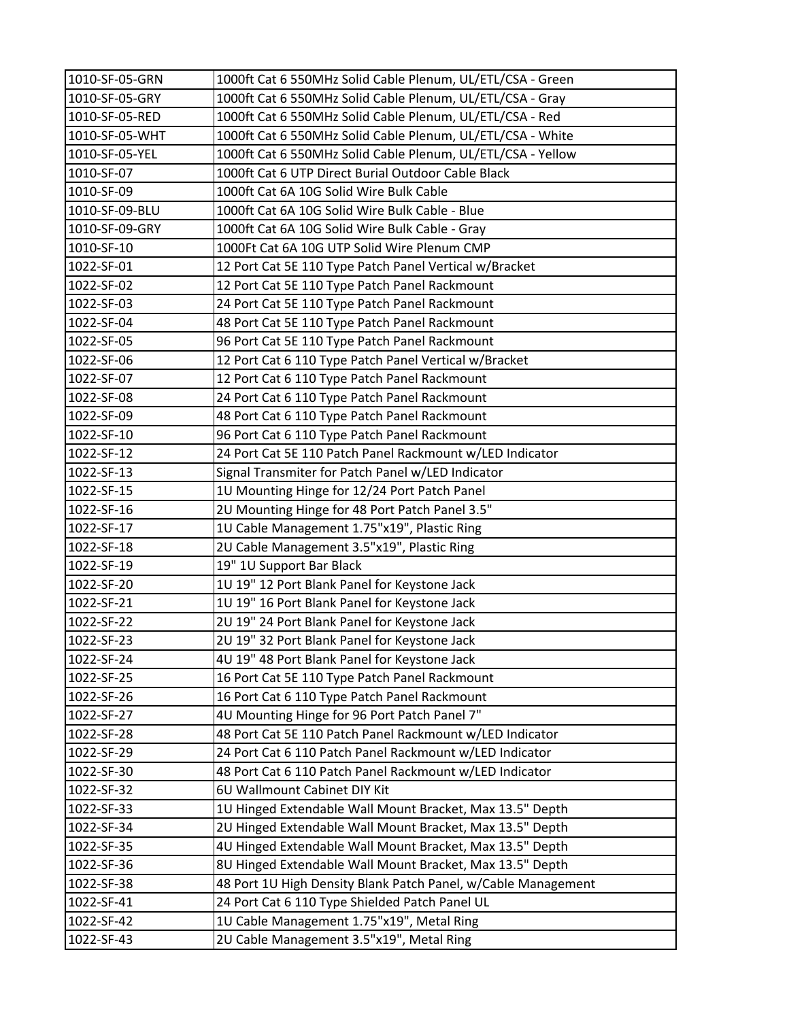| 1010-SF-05-GRN | 1000ft Cat 6 550MHz Solid Cable Plenum, UL/ETL/CSA - Green    |
|----------------|---------------------------------------------------------------|
| 1010-SF-05-GRY | 1000ft Cat 6 550MHz Solid Cable Plenum, UL/ETL/CSA - Gray     |
| 1010-SF-05-RED | 1000ft Cat 6 550MHz Solid Cable Plenum, UL/ETL/CSA - Red      |
| 1010-SF-05-WHT | 1000ft Cat 6 550MHz Solid Cable Plenum, UL/ETL/CSA - White    |
| 1010-SF-05-YEL | 1000ft Cat 6 550MHz Solid Cable Plenum, UL/ETL/CSA - Yellow   |
| 1010-SF-07     | 1000ft Cat 6 UTP Direct Burial Outdoor Cable Black            |
| 1010-SF-09     | 1000ft Cat 6A 10G Solid Wire Bulk Cable                       |
| 1010-SF-09-BLU | 1000ft Cat 6A 10G Solid Wire Bulk Cable - Blue                |
| 1010-SF-09-GRY | 1000ft Cat 6A 10G Solid Wire Bulk Cable - Gray                |
| 1010-SF-10     | 1000Ft Cat 6A 10G UTP Solid Wire Plenum CMP                   |
| 1022-SF-01     | 12 Port Cat 5E 110 Type Patch Panel Vertical w/Bracket        |
| 1022-SF-02     | 12 Port Cat 5E 110 Type Patch Panel Rackmount                 |
| 1022-SF-03     | 24 Port Cat 5E 110 Type Patch Panel Rackmount                 |
| 1022-SF-04     | 48 Port Cat 5E 110 Type Patch Panel Rackmount                 |
| 1022-SF-05     | 96 Port Cat 5E 110 Type Patch Panel Rackmount                 |
| 1022-SF-06     | 12 Port Cat 6 110 Type Patch Panel Vertical w/Bracket         |
| 1022-SF-07     | 12 Port Cat 6 110 Type Patch Panel Rackmount                  |
| 1022-SF-08     | 24 Port Cat 6 110 Type Patch Panel Rackmount                  |
| 1022-SF-09     | 48 Port Cat 6 110 Type Patch Panel Rackmount                  |
| 1022-SF-10     | 96 Port Cat 6 110 Type Patch Panel Rackmount                  |
| 1022-SF-12     | 24 Port Cat 5E 110 Patch Panel Rackmount w/LED Indicator      |
| 1022-SF-13     | Signal Transmiter for Patch Panel w/LED Indicator             |
| 1022-SF-15     | 1U Mounting Hinge for 12/24 Port Patch Panel                  |
| 1022-SF-16     | 2U Mounting Hinge for 48 Port Patch Panel 3.5"                |
| 1022-SF-17     | 1U Cable Management 1.75"x19", Plastic Ring                   |
| 1022-SF-18     | 2U Cable Management 3.5"x19", Plastic Ring                    |
| 1022-SF-19     | 19" 1U Support Bar Black                                      |
| 1022-SF-20     | 1U 19" 12 Port Blank Panel for Keystone Jack                  |
| 1022-SF-21     | 1U 19" 16 Port Blank Panel for Keystone Jack                  |
| 1022-SF-22     | 2U 19" 24 Port Blank Panel for Keystone Jack                  |
| 1022-SF-23     | 2U 19" 32 Port Blank Panel for Keystone Jack                  |
| 1022-SF-24     | 4U 19" 48 Port Blank Panel for Keystone Jack                  |
| 1022-SF-25     | 16 Port Cat 5E 110 Type Patch Panel Rackmount                 |
| 1022-SF-26     | 16 Port Cat 6 110 Type Patch Panel Rackmount                  |
| 1022-SF-27     | 4U Mounting Hinge for 96 Port Patch Panel 7"                  |
| 1022-SF-28     | 48 Port Cat 5E 110 Patch Panel Rackmount w/LED Indicator      |
| 1022-SF-29     | 24 Port Cat 6 110 Patch Panel Rackmount w/LED Indicator       |
| 1022-SF-30     | 48 Port Cat 6 110 Patch Panel Rackmount w/LED Indicator       |
| 1022-SF-32     | 6U Wallmount Cabinet DIY Kit                                  |
| 1022-SF-33     | 1U Hinged Extendable Wall Mount Bracket, Max 13.5" Depth      |
| 1022-SF-34     | 2U Hinged Extendable Wall Mount Bracket, Max 13.5" Depth      |
| 1022-SF-35     | 4U Hinged Extendable Wall Mount Bracket, Max 13.5" Depth      |
| 1022-SF-36     | 8U Hinged Extendable Wall Mount Bracket, Max 13.5" Depth      |
| 1022-SF-38     | 48 Port 1U High Density Blank Patch Panel, w/Cable Management |
| 1022-SF-41     | 24 Port Cat 6 110 Type Shielded Patch Panel UL                |
| 1022-SF-42     | 1U Cable Management 1.75"x19", Metal Ring                     |
| 1022-SF-43     | 2U Cable Management 3.5"x19", Metal Ring                      |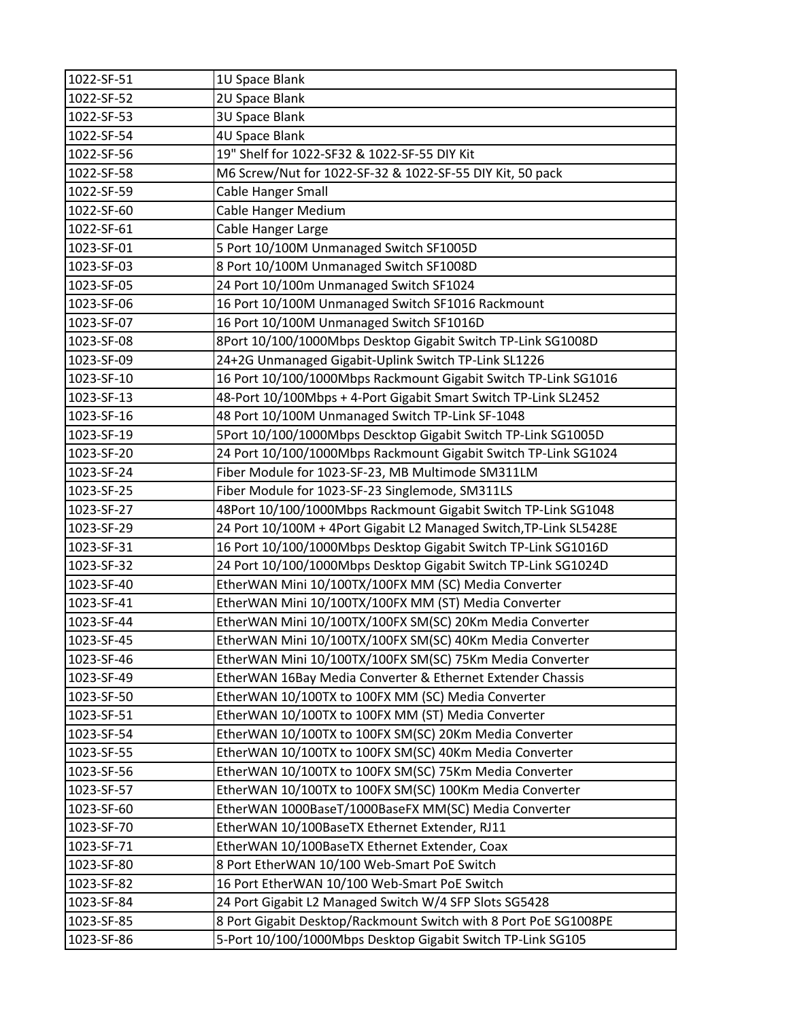| 1022-SF-51 | 1U Space Blank                                                     |
|------------|--------------------------------------------------------------------|
| 1022-SF-52 | 2U Space Blank                                                     |
| 1022-SF-53 | <b>3U Space Blank</b>                                              |
| 1022-SF-54 | 4U Space Blank                                                     |
| 1022-SF-56 | 19" Shelf for 1022-SF32 & 1022-SF-55 DIY Kit                       |
| 1022-SF-58 | M6 Screw/Nut for 1022-SF-32 & 1022-SF-55 DIY Kit, 50 pack          |
| 1022-SF-59 | Cable Hanger Small                                                 |
| 1022-SF-60 | Cable Hanger Medium                                                |
| 1022-SF-61 | Cable Hanger Large                                                 |
| 1023-SF-01 | 5 Port 10/100M Unmanaged Switch SF1005D                            |
| 1023-SF-03 | 8 Port 10/100M Unmanaged Switch SF1008D                            |
| 1023-SF-05 | 24 Port 10/100m Unmanaged Switch SF1024                            |
| 1023-SF-06 | 16 Port 10/100M Unmanaged Switch SF1016 Rackmount                  |
| 1023-SF-07 | 16 Port 10/100M Unmanaged Switch SF1016D                           |
| 1023-SF-08 | 8Port 10/100/1000Mbps Desktop Gigabit Switch TP-Link SG1008D       |
| 1023-SF-09 | 24+2G Unmanaged Gigabit-Uplink Switch TP-Link SL1226               |
| 1023-SF-10 | 16 Port 10/100/1000Mbps Rackmount Gigabit Switch TP-Link SG1016    |
| 1023-SF-13 | 48-Port 10/100Mbps + 4-Port Gigabit Smart Switch TP-Link SL2452    |
| 1023-SF-16 | 48 Port 10/100M Unmanaged Switch TP-Link SF-1048                   |
| 1023-SF-19 | 5Port 10/100/1000Mbps Descktop Gigabit Switch TP-Link SG1005D      |
| 1023-SF-20 | 24 Port 10/100/1000Mbps Rackmount Gigabit Switch TP-Link SG1024    |
| 1023-SF-24 | Fiber Module for 1023-SF-23, MB Multimode SM311LM                  |
| 1023-SF-25 | Fiber Module for 1023-SF-23 Singlemode, SM311LS                    |
| 1023-SF-27 | 48Port 10/100/1000Mbps Rackmount Gigabit Switch TP-Link SG1048     |
| 1023-SF-29 | 24 Port 10/100M + 4Port Gigabit L2 Managed Switch, TP-Link SL5428E |
| 1023-SF-31 | 16 Port 10/100/1000Mbps Desktop Gigabit Switch TP-Link SG1016D     |
| 1023-SF-32 | 24 Port 10/100/1000Mbps Desktop Gigabit Switch TP-Link SG1024D     |
| 1023-SF-40 | EtherWAN Mini 10/100TX/100FX MM (SC) Media Converter               |
| 1023-SF-41 | EtherWAN Mini 10/100TX/100FX MM (ST) Media Converter               |
| 1023-SF-44 | EtherWAN Mini 10/100TX/100FX SM(SC) 20Km Media Converter           |
| 1023-SF-45 | EtherWAN Mini 10/100TX/100FX SM(SC) 40Km Media Converter           |
| 1023-SF-46 | EtherWAN Mini 10/100TX/100FX SM(SC) 75Km Media Converter           |
| 1023-SF-49 | EtherWAN 16Bay Media Converter & Ethernet Extender Chassis         |
| 1023-SF-50 | EtherWAN 10/100TX to 100FX MM (SC) Media Converter                 |
| 1023-SF-51 | EtherWAN 10/100TX to 100FX MM (ST) Media Converter                 |
| 1023-SF-54 | EtherWAN 10/100TX to 100FX SM(SC) 20Km Media Converter             |
| 1023-SF-55 | EtherWAN 10/100TX to 100FX SM(SC) 40Km Media Converter             |
| 1023-SF-56 | EtherWAN 10/100TX to 100FX SM(SC) 75Km Media Converter             |
| 1023-SF-57 | EtherWAN 10/100TX to 100FX SM(SC) 100Km Media Converter            |
| 1023-SF-60 | EtherWAN 1000BaseT/1000BaseFX MM(SC) Media Converter               |
| 1023-SF-70 | EtherWAN 10/100BaseTX Ethernet Extender, RJ11                      |
| 1023-SF-71 | EtherWAN 10/100BaseTX Ethernet Extender, Coax                      |
| 1023-SF-80 | 8 Port EtherWAN 10/100 Web-Smart PoE Switch                        |
| 1023-SF-82 | 16 Port EtherWAN 10/100 Web-Smart PoE Switch                       |
| 1023-SF-84 | 24 Port Gigabit L2 Managed Switch W/4 SFP Slots SG5428             |
| 1023-SF-85 | 8 Port Gigabit Desktop/Rackmount Switch with 8 Port PoE SG1008PE   |
| 1023-SF-86 | 5-Port 10/100/1000Mbps Desktop Gigabit Switch TP-Link SG105        |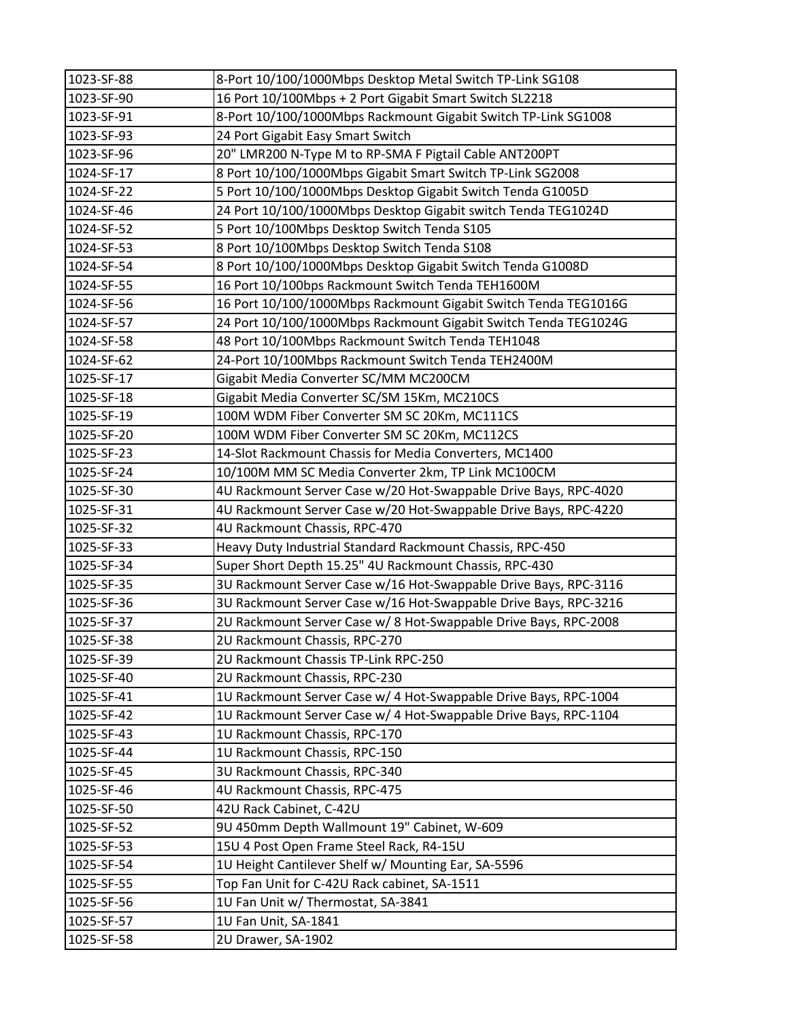| 1023-SF-88 | 8-Port 10/100/1000Mbps Desktop Metal Switch TP-Link SG108        |
|------------|------------------------------------------------------------------|
| 1023-SF-90 | 16 Port 10/100Mbps + 2 Port Gigabit Smart Switch SL2218          |
| 1023-SF-91 | 8-Port 10/100/1000Mbps Rackmount Gigabit Switch TP-Link SG1008   |
| 1023-SF-93 | 24 Port Gigabit Easy Smart Switch                                |
| 1023-SF-96 | 20" LMR200 N-Type M to RP-SMA F Pigtail Cable ANT200PT           |
| 1024-SF-17 | 8 Port 10/100/1000Mbps Gigabit Smart Switch TP-Link SG2008       |
| 1024-SF-22 | 5 Port 10/100/1000Mbps Desktop Gigabit Switch Tenda G1005D       |
| 1024-SF-46 | 24 Port 10/100/1000Mbps Desktop Gigabit switch Tenda TEG1024D    |
| 1024-SF-52 | 5 Port 10/100Mbps Desktop Switch Tenda S105                      |
| 1024-SF-53 | 8 Port 10/100Mbps Desktop Switch Tenda S108                      |
| 1024-SF-54 | 8 Port 10/100/1000Mbps Desktop Gigabit Switch Tenda G1008D       |
| 1024-SF-55 | 16 Port 10/100bps Rackmount Switch Tenda TEH1600M                |
| 1024-SF-56 | 16 Port 10/100/1000Mbps Rackmount Gigabit Switch Tenda TEG1016G  |
| 1024-SF-57 | 24 Port 10/100/1000Mbps Rackmount Gigabit Switch Tenda TEG1024G  |
| 1024-SF-58 | 48 Port 10/100Mbps Rackmount Switch Tenda TEH1048                |
| 1024-SF-62 | 24-Port 10/100Mbps Rackmount Switch Tenda TEH2400M               |
| 1025-SF-17 | Gigabit Media Converter SC/MM MC200CM                            |
| 1025-SF-18 | Gigabit Media Converter SC/SM 15Km, MC210CS                      |
| 1025-SF-19 | 100M WDM Fiber Converter SM SC 20Km, MC111CS                     |
| 1025-SF-20 | 100M WDM Fiber Converter SM SC 20Km, MC112CS                     |
| 1025-SF-23 | 14-Slot Rackmount Chassis for Media Converters, MC1400           |
| 1025-SF-24 | 10/100M MM SC Media Converter 2km, TP Link MC100CM               |
| 1025-SF-30 | 4U Rackmount Server Case w/20 Hot-Swappable Drive Bays, RPC-4020 |
| 1025-SF-31 | 4U Rackmount Server Case w/20 Hot-Swappable Drive Bays, RPC-4220 |
| 1025-SF-32 | 4U Rackmount Chassis, RPC-470                                    |
| 1025-SF-33 | Heavy Duty Industrial Standard Rackmount Chassis, RPC-450        |
| 1025-SF-34 | Super Short Depth 15.25" 4U Rackmount Chassis, RPC-430           |
| 1025-SF-35 | 3U Rackmount Server Case w/16 Hot-Swappable Drive Bays, RPC-3116 |
| 1025-SF-36 | 3U Rackmount Server Case w/16 Hot-Swappable Drive Bays, RPC-3216 |
| 1025-SF-37 | 2U Rackmount Server Case w/ 8 Hot-Swappable Drive Bays, RPC-2008 |
| 1025-SF-38 | 2U Rackmount Chassis, RPC-270                                    |
| 1025-SF-39 | 2U Rackmount Chassis TP-Link RPC-250                             |
| 1025-SF-40 | 2U Rackmount Chassis, RPC-230                                    |
| 1025-SF-41 | 1U Rackmount Server Case w/ 4 Hot-Swappable Drive Bays, RPC-1004 |
| 1025-SF-42 | 1U Rackmount Server Case w/ 4 Hot-Swappable Drive Bays, RPC-1104 |
| 1025-SF-43 | 1U Rackmount Chassis, RPC-170                                    |
| 1025-SF-44 | 1U Rackmount Chassis, RPC-150                                    |
| 1025-SF-45 | 3U Rackmount Chassis, RPC-340                                    |
| 1025-SF-46 | 4U Rackmount Chassis, RPC-475                                    |
| 1025-SF-50 | 42U Rack Cabinet, C-42U                                          |
| 1025-SF-52 | 9U 450mm Depth Wallmount 19" Cabinet, W-609                      |
| 1025-SF-53 | 15U 4 Post Open Frame Steel Rack, R4-15U                         |
| 1025-SF-54 | 1U Height Cantilever Shelf w/ Mounting Ear, SA-5596              |
| 1025-SF-55 | Top Fan Unit for C-42U Rack cabinet, SA-1511                     |
| 1025-SF-56 | 1U Fan Unit w/ Thermostat, SA-3841                               |
| 1025-SF-57 | 1U Fan Unit, SA-1841                                             |
| 1025-SF-58 | 2U Drawer, SA-1902                                               |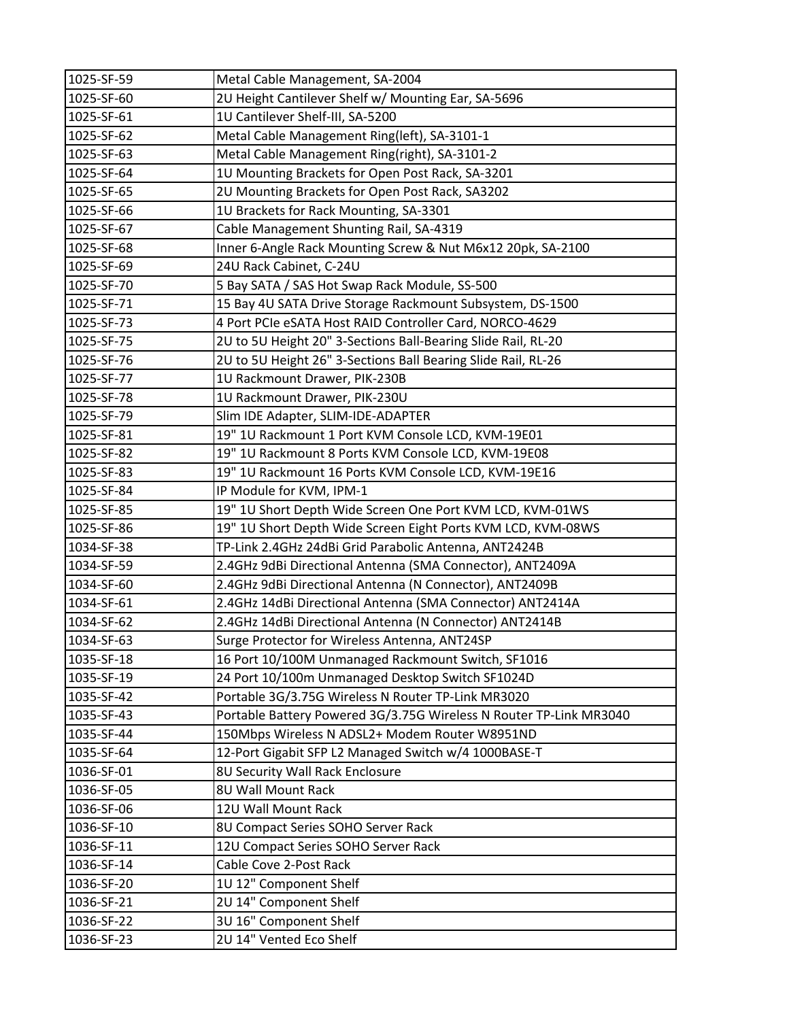| 1025-SF-59 | Metal Cable Management, SA-2004                                    |
|------------|--------------------------------------------------------------------|
| 1025-SF-60 | 2U Height Cantilever Shelf w/ Mounting Ear, SA-5696                |
| 1025-SF-61 | 1U Cantilever Shelf-III, SA-5200                                   |
| 1025-SF-62 | Metal Cable Management Ring(left), SA-3101-1                       |
| 1025-SF-63 | Metal Cable Management Ring(right), SA-3101-2                      |
| 1025-SF-64 | 1U Mounting Brackets for Open Post Rack, SA-3201                   |
| 1025-SF-65 | 2U Mounting Brackets for Open Post Rack, SA3202                    |
| 1025-SF-66 | 1U Brackets for Rack Mounting, SA-3301                             |
| 1025-SF-67 | Cable Management Shunting Rail, SA-4319                            |
| 1025-SF-68 | Inner 6-Angle Rack Mounting Screw & Nut M6x12 20pk, SA-2100        |
| 1025-SF-69 | 24U Rack Cabinet, C-24U                                            |
| 1025-SF-70 | 5 Bay SATA / SAS Hot Swap Rack Module, SS-500                      |
| 1025-SF-71 | 15 Bay 4U SATA Drive Storage Rackmount Subsystem, DS-1500          |
| 1025-SF-73 | 4 Port PCIe eSATA Host RAID Controller Card, NORCO-4629            |
| 1025-SF-75 | 2U to 5U Height 20" 3-Sections Ball-Bearing Slide Rail, RL-20      |
| 1025-SF-76 | 2U to 5U Height 26" 3-Sections Ball Bearing Slide Rail, RL-26      |
| 1025-SF-77 | 1U Rackmount Drawer, PIK-230B                                      |
| 1025-SF-78 | 1U Rackmount Drawer, PIK-230U                                      |
| 1025-SF-79 | Slim IDE Adapter, SLIM-IDE-ADAPTER                                 |
| 1025-SF-81 | 19" 1U Rackmount 1 Port KVM Console LCD, KVM-19E01                 |
| 1025-SF-82 | 19" 1U Rackmount 8 Ports KVM Console LCD, KVM-19E08                |
| 1025-SF-83 | 19" 1U Rackmount 16 Ports KVM Console LCD, KVM-19E16               |
| 1025-SF-84 | IP Module for KVM, IPM-1                                           |
| 1025-SF-85 | 19" 1U Short Depth Wide Screen One Port KVM LCD, KVM-01WS          |
| 1025-SF-86 | 19" 1U Short Depth Wide Screen Eight Ports KVM LCD, KVM-08WS       |
| 1034-SF-38 | TP-Link 2.4GHz 24dBi Grid Parabolic Antenna, ANT2424B              |
| 1034-SF-59 | 2.4GHz 9dBi Directional Antenna (SMA Connector), ANT2409A          |
| 1034-SF-60 | 2.4GHz 9dBi Directional Antenna (N Connector), ANT2409B            |
| 1034-SF-61 | 2.4GHz 14dBi Directional Antenna (SMA Connector) ANT2414A          |
| 1034-SF-62 | 2.4GHz 14dBi Directional Antenna (N Connector) ANT2414B            |
| 1034-SF-63 | Surge Protector for Wireless Antenna, ANT24SP                      |
| 1035-SF-18 | 16 Port 10/100M Unmanaged Rackmount Switch, SF1016                 |
| 1035-SF-19 | 24 Port 10/100m Unmanaged Desktop Switch SF1024D                   |
| 1035-SF-42 | Portable 3G/3.75G Wireless N Router TP-Link MR3020                 |
| 1035-SF-43 | Portable Battery Powered 3G/3.75G Wireless N Router TP-Link MR3040 |
| 1035-SF-44 | 150Mbps Wireless N ADSL2+ Modem Router W8951ND                     |
| 1035-SF-64 | 12-Port Gigabit SFP L2 Managed Switch w/4 1000BASE-T               |
| 1036-SF-01 | 8U Security Wall Rack Enclosure                                    |
| 1036-SF-05 | 8U Wall Mount Rack                                                 |
| 1036-SF-06 | 12U Wall Mount Rack                                                |
| 1036-SF-10 | 8U Compact Series SOHO Server Rack                                 |
| 1036-SF-11 | 12U Compact Series SOHO Server Rack                                |
| 1036-SF-14 | Cable Cove 2-Post Rack                                             |
| 1036-SF-20 | 1U 12" Component Shelf                                             |
| 1036-SF-21 | 2U 14" Component Shelf                                             |
| 1036-SF-22 | 3U 16" Component Shelf                                             |
| 1036-SF-23 | 2U 14" Vented Eco Shelf                                            |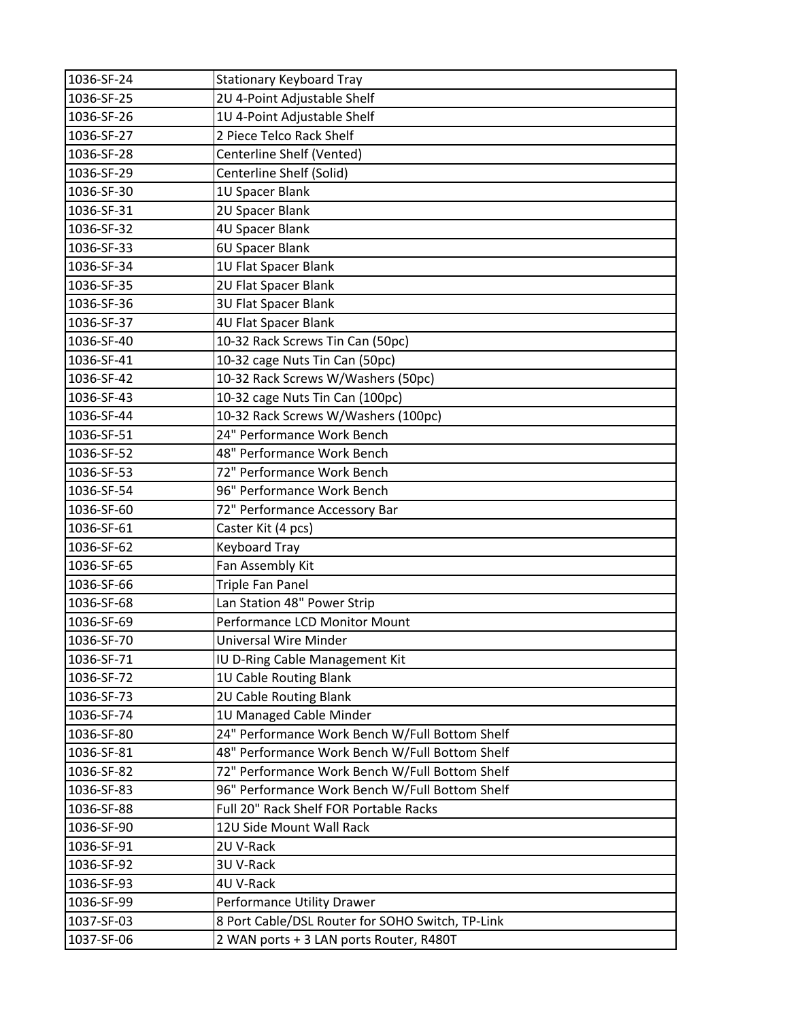| 1036-SF-24 | <b>Stationary Keyboard Tray</b>                  |
|------------|--------------------------------------------------|
| 1036-SF-25 | 2U 4-Point Adjustable Shelf                      |
| 1036-SF-26 | 1U 4-Point Adjustable Shelf                      |
| 1036-SF-27 | 2 Piece Telco Rack Shelf                         |
| 1036-SF-28 | Centerline Shelf (Vented)                        |
| 1036-SF-29 | Centerline Shelf (Solid)                         |
| 1036-SF-30 | 1U Spacer Blank                                  |
| 1036-SF-31 | 2U Spacer Blank                                  |
| 1036-SF-32 | 4U Spacer Blank                                  |
| 1036-SF-33 | 6U Spacer Blank                                  |
| 1036-SF-34 | 1U Flat Spacer Blank                             |
| 1036-SF-35 | 2U Flat Spacer Blank                             |
| 1036-SF-36 | <b>3U Flat Spacer Blank</b>                      |
| 1036-SF-37 | 4U Flat Spacer Blank                             |
| 1036-SF-40 | 10-32 Rack Screws Tin Can (50pc)                 |
| 1036-SF-41 | 10-32 cage Nuts Tin Can (50pc)                   |
| 1036-SF-42 | 10-32 Rack Screws W/Washers (50pc)               |
| 1036-SF-43 | 10-32 cage Nuts Tin Can (100pc)                  |
| 1036-SF-44 | 10-32 Rack Screws W/Washers (100pc)              |
| 1036-SF-51 | 24" Performance Work Bench                       |
| 1036-SF-52 | 48" Performance Work Bench                       |
| 1036-SF-53 | 72" Performance Work Bench                       |
| 1036-SF-54 | 96" Performance Work Bench                       |
| 1036-SF-60 | 72" Performance Accessory Bar                    |
| 1036-SF-61 | Caster Kit (4 pcs)                               |
| 1036-SF-62 | <b>Keyboard Tray</b>                             |
| 1036-SF-65 | Fan Assembly Kit                                 |
| 1036-SF-66 | <b>Triple Fan Panel</b>                          |
| 1036-SF-68 | Lan Station 48" Power Strip                      |
| 1036-SF-69 | Performance LCD Monitor Mount                    |
| 1036-SF-70 | Universal Wire Minder                            |
| 1036-SF-71 | IU D-Ring Cable Management Kit                   |
| 1036-SF-72 | 1U Cable Routing Blank                           |
| 1036-SF-73 | 2U Cable Routing Blank                           |
| 1036-SF-74 | 1U Managed Cable Minder                          |
| 1036-SF-80 | 24" Performance Work Bench W/Full Bottom Shelf   |
| 1036-SF-81 | 48" Performance Work Bench W/Full Bottom Shelf   |
| 1036-SF-82 | 72" Performance Work Bench W/Full Bottom Shelf   |
| 1036-SF-83 | 96" Performance Work Bench W/Full Bottom Shelf   |
| 1036-SF-88 | Full 20" Rack Shelf FOR Portable Racks           |
| 1036-SF-90 | 12U Side Mount Wall Rack                         |
| 1036-SF-91 | 2U V-Rack                                        |
| 1036-SF-92 | 3U V-Rack                                        |
| 1036-SF-93 | 4U V-Rack                                        |
| 1036-SF-99 | Performance Utility Drawer                       |
| 1037-SF-03 | 8 Port Cable/DSL Router for SOHO Switch, TP-Link |
| 1037-SF-06 | 2 WAN ports + 3 LAN ports Router, R480T          |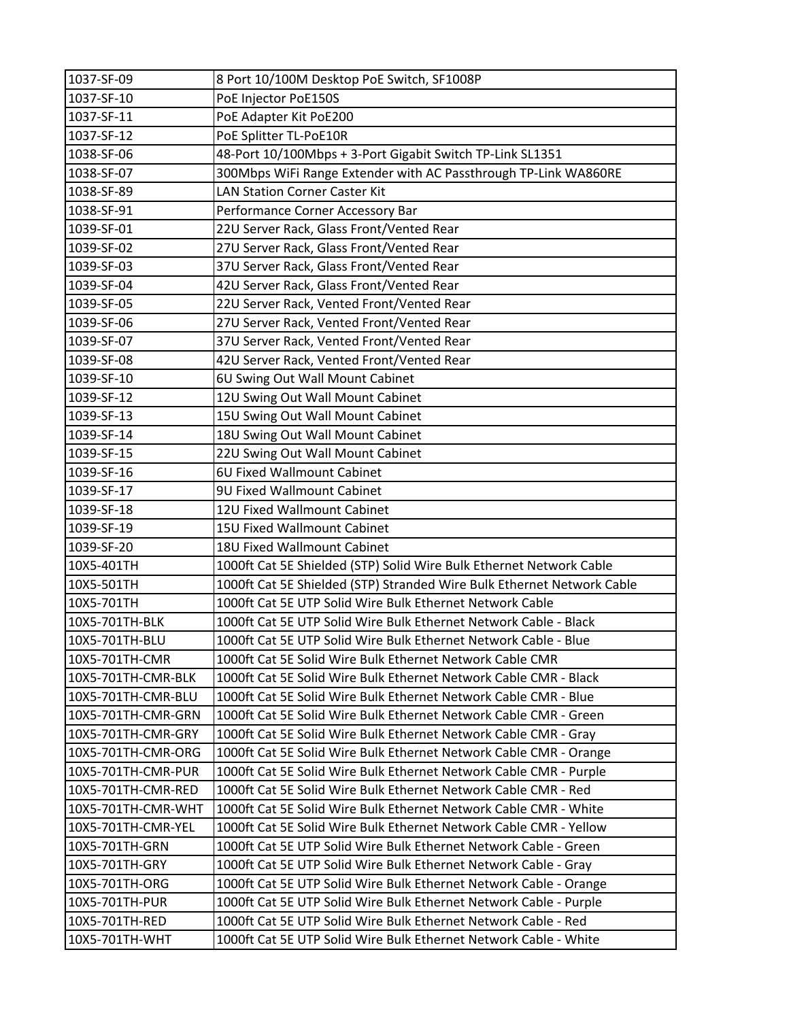| 1037-SF-09         | 8 Port 10/100M Desktop PoE Switch, SF1008P                             |
|--------------------|------------------------------------------------------------------------|
| 1037-SF-10         | PoE Injector PoE150S                                                   |
| 1037-SF-11         | PoE Adapter Kit PoE200                                                 |
| 1037-SF-12         | PoE Splitter TL-PoE10R                                                 |
| 1038-SF-06         | 48-Port 10/100Mbps + 3-Port Gigabit Switch TP-Link SL1351              |
| 1038-SF-07         | 300Mbps WiFi Range Extender with AC Passthrough TP-Link WA860RE        |
| 1038-SF-89         | <b>LAN Station Corner Caster Kit</b>                                   |
| 1038-SF-91         | Performance Corner Accessory Bar                                       |
| 1039-SF-01         | 22U Server Rack, Glass Front/Vented Rear                               |
| 1039-SF-02         | 27U Server Rack, Glass Front/Vented Rear                               |
| 1039-SF-03         | 37U Server Rack, Glass Front/Vented Rear                               |
| 1039-SF-04         | 42U Server Rack, Glass Front/Vented Rear                               |
| 1039-SF-05         | 22U Server Rack, Vented Front/Vented Rear                              |
| 1039-SF-06         | 27U Server Rack, Vented Front/Vented Rear                              |
| 1039-SF-07         | 37U Server Rack, Vented Front/Vented Rear                              |
| 1039-SF-08         | 42U Server Rack, Vented Front/Vented Rear                              |
| 1039-SF-10         | 6U Swing Out Wall Mount Cabinet                                        |
| 1039-SF-12         | 12U Swing Out Wall Mount Cabinet                                       |
| 1039-SF-13         | 15U Swing Out Wall Mount Cabinet                                       |
| 1039-SF-14         | 18U Swing Out Wall Mount Cabinet                                       |
| 1039-SF-15         | 22U Swing Out Wall Mount Cabinet                                       |
| 1039-SF-16         | 6U Fixed Wallmount Cabinet                                             |
| 1039-SF-17         | 9U Fixed Wallmount Cabinet                                             |
| 1039-SF-18         | 12U Fixed Wallmount Cabinet                                            |
| 1039-SF-19         | 15U Fixed Wallmount Cabinet                                            |
| 1039-SF-20         | 18U Fixed Wallmount Cabinet                                            |
| 10X5-401TH         | 1000ft Cat 5E Shielded (STP) Solid Wire Bulk Ethernet Network Cable    |
| 10X5-501TH         | 1000ft Cat 5E Shielded (STP) Stranded Wire Bulk Ethernet Network Cable |
| 10X5-701TH         | 1000ft Cat 5E UTP Solid Wire Bulk Ethernet Network Cable               |
| 10X5-701TH-BLK     | 1000ft Cat 5E UTP Solid Wire Bulk Ethernet Network Cable - Black       |
| 10X5-701TH-BLU     | 1000ft Cat 5E UTP Solid Wire Bulk Ethernet Network Cable - Blue        |
| 10X5-701TH-CMR     | 1000ft Cat 5E Solid Wire Bulk Ethernet Network Cable CMR               |
| 10X5-701TH-CMR-BLK | 1000ft Cat 5E Solid Wire Bulk Ethernet Network Cable CMR - Black       |
| 10X5-701TH-CMR-BLU | 1000ft Cat 5E Solid Wire Bulk Ethernet Network Cable CMR - Blue        |
| 10X5-701TH-CMR-GRN | 1000ft Cat 5E Solid Wire Bulk Ethernet Network Cable CMR - Green       |
| 10X5-701TH-CMR-GRY | 1000ft Cat 5E Solid Wire Bulk Ethernet Network Cable CMR - Gray        |
| 10X5-701TH-CMR-ORG | 1000ft Cat 5E Solid Wire Bulk Ethernet Network Cable CMR - Orange      |
| 10X5-701TH-CMR-PUR | 1000ft Cat 5E Solid Wire Bulk Ethernet Network Cable CMR - Purple      |
| 10X5-701TH-CMR-RED | 1000ft Cat 5E Solid Wire Bulk Ethernet Network Cable CMR - Red         |
| 10X5-701TH-CMR-WHT | 1000ft Cat 5E Solid Wire Bulk Ethernet Network Cable CMR - White       |
| 10X5-701TH-CMR-YEL | 1000ft Cat 5E Solid Wire Bulk Ethernet Network Cable CMR - Yellow      |
| 10X5-701TH-GRN     | 1000ft Cat 5E UTP Solid Wire Bulk Ethernet Network Cable - Green       |
| 10X5-701TH-GRY     | 1000ft Cat 5E UTP Solid Wire Bulk Ethernet Network Cable - Gray        |
| 10X5-701TH-ORG     | 1000ft Cat 5E UTP Solid Wire Bulk Ethernet Network Cable - Orange      |
| 10X5-701TH-PUR     | 1000ft Cat 5E UTP Solid Wire Bulk Ethernet Network Cable - Purple      |
| 10X5-701TH-RED     | 1000ft Cat 5E UTP Solid Wire Bulk Ethernet Network Cable - Red         |
| 10X5-701TH-WHT     | 1000ft Cat 5E UTP Solid Wire Bulk Ethernet Network Cable - White       |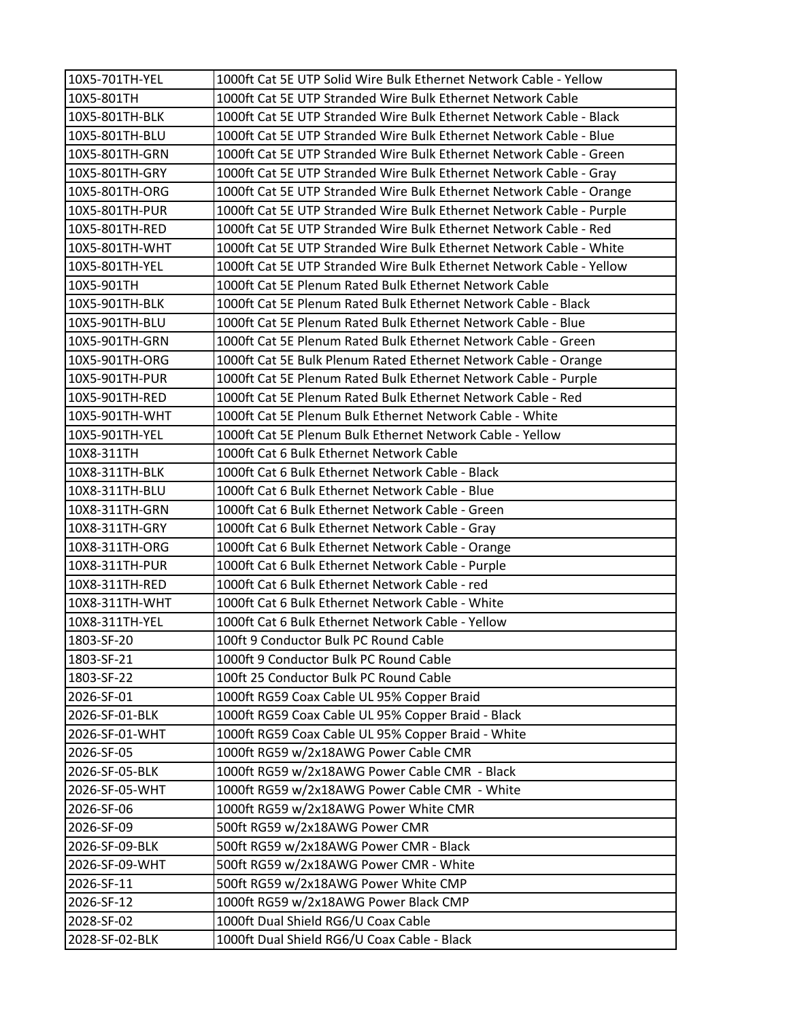| 10X5-701TH-YEL | 1000ft Cat 5E UTP Solid Wire Bulk Ethernet Network Cable - Yellow    |
|----------------|----------------------------------------------------------------------|
| 10X5-801TH     | 1000ft Cat 5E UTP Stranded Wire Bulk Ethernet Network Cable          |
| 10X5-801TH-BLK | 1000ft Cat 5E UTP Stranded Wire Bulk Ethernet Network Cable - Black  |
| 10X5-801TH-BLU | 1000ft Cat 5E UTP Stranded Wire Bulk Ethernet Network Cable - Blue   |
| 10X5-801TH-GRN | 1000ft Cat 5E UTP Stranded Wire Bulk Ethernet Network Cable - Green  |
| 10X5-801TH-GRY | 1000ft Cat 5E UTP Stranded Wire Bulk Ethernet Network Cable - Gray   |
| 10X5-801TH-ORG | 1000ft Cat 5E UTP Stranded Wire Bulk Ethernet Network Cable - Orange |
| 10X5-801TH-PUR | 1000ft Cat 5E UTP Stranded Wire Bulk Ethernet Network Cable - Purple |
| 10X5-801TH-RED | 1000ft Cat 5E UTP Stranded Wire Bulk Ethernet Network Cable - Red    |
| 10X5-801TH-WHT | 1000ft Cat 5E UTP Stranded Wire Bulk Ethernet Network Cable - White  |
| 10X5-801TH-YEL | 1000ft Cat 5E UTP Stranded Wire Bulk Ethernet Network Cable - Yellow |
| 10X5-901TH     | 1000ft Cat 5E Plenum Rated Bulk Ethernet Network Cable               |
| 10X5-901TH-BLK | 1000ft Cat 5E Plenum Rated Bulk Ethernet Network Cable - Black       |
| 10X5-901TH-BLU | 1000ft Cat 5E Plenum Rated Bulk Ethernet Network Cable - Blue        |
| 10X5-901TH-GRN | 1000ft Cat 5E Plenum Rated Bulk Ethernet Network Cable - Green       |
| 10X5-901TH-ORG | 1000ft Cat 5E Bulk Plenum Rated Ethernet Network Cable - Orange      |
| 10X5-901TH-PUR | 1000ft Cat 5E Plenum Rated Bulk Ethernet Network Cable - Purple      |
| 10X5-901TH-RED | 1000ft Cat 5E Plenum Rated Bulk Ethernet Network Cable - Red         |
| 10X5-901TH-WHT | 1000ft Cat 5E Plenum Bulk Ethernet Network Cable - White             |
| 10X5-901TH-YEL | 1000ft Cat 5E Plenum Bulk Ethernet Network Cable - Yellow            |
| 10X8-311TH     | 1000ft Cat 6 Bulk Ethernet Network Cable                             |
| 10X8-311TH-BLK | 1000ft Cat 6 Bulk Ethernet Network Cable - Black                     |
| 10X8-311TH-BLU | 1000ft Cat 6 Bulk Ethernet Network Cable - Blue                      |
| 10X8-311TH-GRN | 1000ft Cat 6 Bulk Ethernet Network Cable - Green                     |
| 10X8-311TH-GRY | 1000ft Cat 6 Bulk Ethernet Network Cable - Gray                      |
| 10X8-311TH-ORG | 1000ft Cat 6 Bulk Ethernet Network Cable - Orange                    |
| 10X8-311TH-PUR | 1000ft Cat 6 Bulk Ethernet Network Cable - Purple                    |
| 10X8-311TH-RED | 1000ft Cat 6 Bulk Ethernet Network Cable - red                       |
| 10X8-311TH-WHT | 1000ft Cat 6 Bulk Ethernet Network Cable - White                     |
| 10X8-311TH-YEL | 1000ft Cat 6 Bulk Ethernet Network Cable - Yellow                    |
| 1803-SF-20     | 100ft 9 Conductor Bulk PC Round Cable                                |
| 1803-SF-21     | 1000ft 9 Conductor Bulk PC Round Cable                               |
| 1803-SF-22     | 100ft 25 Conductor Bulk PC Round Cable                               |
| 2026-SF-01     | 1000ft RG59 Coax Cable UL 95% Copper Braid                           |
| 2026-SF-01-BLK | 1000ft RG59 Coax Cable UL 95% Copper Braid - Black                   |
| 2026-SF-01-WHT | 1000ft RG59 Coax Cable UL 95% Copper Braid - White                   |
| 2026-SF-05     | 1000ft RG59 w/2x18AWG Power Cable CMR                                |
| 2026-SF-05-BLK | 1000ft RG59 w/2x18AWG Power Cable CMR - Black                        |
| 2026-SF-05-WHT | 1000ft RG59 w/2x18AWG Power Cable CMR - White                        |
| 2026-SF-06     | 1000ft RG59 w/2x18AWG Power White CMR                                |
| 2026-SF-09     | 500ft RG59 w/2x18AWG Power CMR                                       |
| 2026-SF-09-BLK | 500ft RG59 w/2x18AWG Power CMR - Black                               |
| 2026-SF-09-WHT | 500ft RG59 w/2x18AWG Power CMR - White                               |
| 2026-SF-11     | 500ft RG59 w/2x18AWG Power White CMP                                 |
| 2026-SF-12     | 1000ft RG59 w/2x18AWG Power Black CMP                                |
| 2028-SF-02     | 1000ft Dual Shield RG6/U Coax Cable                                  |
| 2028-SF-02-BLK | 1000ft Dual Shield RG6/U Coax Cable - Black                          |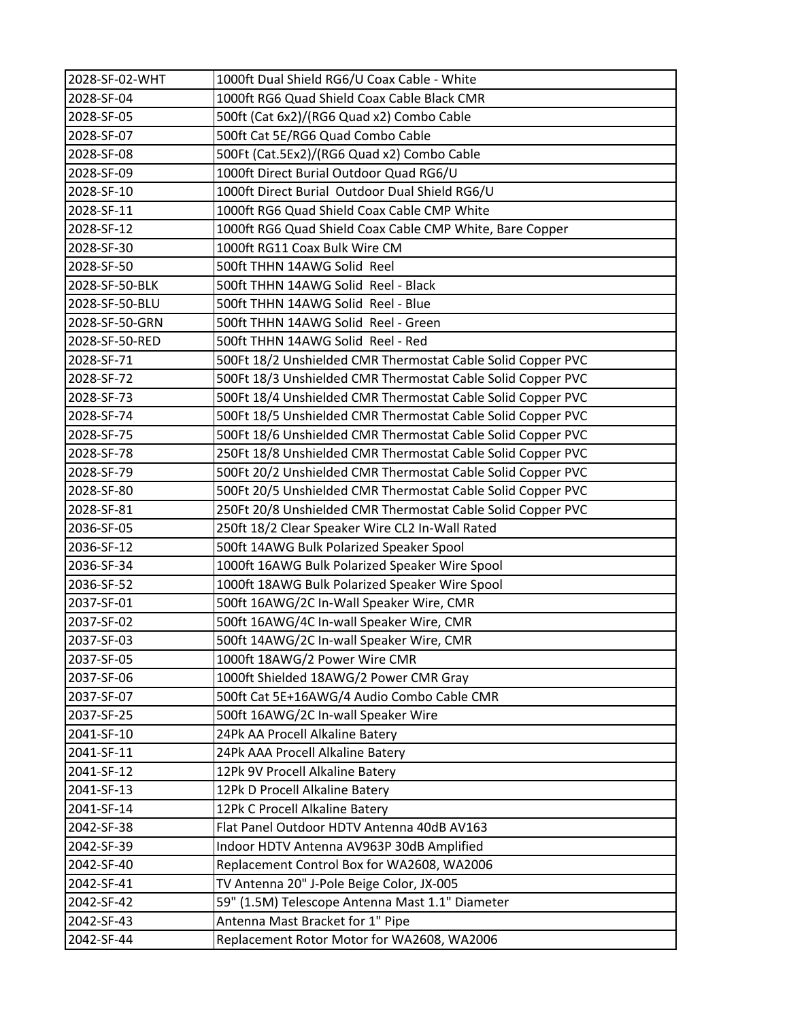| 2028-SF-02-WHT | 1000ft Dual Shield RG6/U Coax Cable - White                 |
|----------------|-------------------------------------------------------------|
| 2028-SF-04     | 1000ft RG6 Quad Shield Coax Cable Black CMR                 |
| 2028-SF-05     | 500ft (Cat 6x2)/(RG6 Quad x2) Combo Cable                   |
| 2028-SF-07     | 500ft Cat 5E/RG6 Quad Combo Cable                           |
| 2028-SF-08     | 500Ft (Cat.5Ex2)/(RG6 Quad x2) Combo Cable                  |
| 2028-SF-09     | 1000ft Direct Burial Outdoor Quad RG6/U                     |
| 2028-SF-10     | 1000ft Direct Burial Outdoor Dual Shield RG6/U              |
| 2028-SF-11     | 1000ft RG6 Quad Shield Coax Cable CMP White                 |
| 2028-SF-12     | 1000ft RG6 Quad Shield Coax Cable CMP White, Bare Copper    |
| 2028-SF-30     | 1000ft RG11 Coax Bulk Wire CM                               |
| 2028-SF-50     | 500ft THHN 14AWG Solid Reel                                 |
| 2028-SF-50-BLK | 500ft THHN 14AWG Solid Reel - Black                         |
| 2028-SF-50-BLU | 500ft THHN 14AWG Solid Reel - Blue                          |
| 2028-SF-50-GRN | 500ft THHN 14AWG Solid Reel - Green                         |
| 2028-SF-50-RED | 500ft THHN 14AWG Solid Reel - Red                           |
| 2028-SF-71     | 500Ft 18/2 Unshielded CMR Thermostat Cable Solid Copper PVC |
| 2028-SF-72     | 500Ft 18/3 Unshielded CMR Thermostat Cable Solid Copper PVC |
| 2028-SF-73     | 500Ft 18/4 Unshielded CMR Thermostat Cable Solid Copper PVC |
| 2028-SF-74     | 500Ft 18/5 Unshielded CMR Thermostat Cable Solid Copper PVC |
| 2028-SF-75     | 500Ft 18/6 Unshielded CMR Thermostat Cable Solid Copper PVC |
| 2028-SF-78     | 250Ft 18/8 Unshielded CMR Thermostat Cable Solid Copper PVC |
| 2028-SF-79     | 500Ft 20/2 Unshielded CMR Thermostat Cable Solid Copper PVC |
| 2028-SF-80     | 500Ft 20/5 Unshielded CMR Thermostat Cable Solid Copper PVC |
| 2028-SF-81     | 250Ft 20/8 Unshielded CMR Thermostat Cable Solid Copper PVC |
| 2036-SF-05     | 250ft 18/2 Clear Speaker Wire CL2 In-Wall Rated             |
| 2036-SF-12     | 500ft 14AWG Bulk Polarized Speaker Spool                    |
| 2036-SF-34     | 1000ft 16AWG Bulk Polarized Speaker Wire Spool              |
| 2036-SF-52     | 1000ft 18AWG Bulk Polarized Speaker Wire Spool              |
| 2037-SF-01     | 500ft 16AWG/2C In-Wall Speaker Wire, CMR                    |
| 2037-SF-02     | 500ft 16AWG/4C In-wall Speaker Wire, CMR                    |
| 2037-SF-03     | 500ft 14AWG/2C In-wall Speaker Wire, CMR                    |
| 2037-SF-05     | 1000ft 18AWG/2 Power Wire CMR                               |
| 2037-SF-06     | 1000ft Shielded 18AWG/2 Power CMR Gray                      |
| 2037-SF-07     | 500ft Cat 5E+16AWG/4 Audio Combo Cable CMR                  |
| 2037-SF-25     | 500ft 16AWG/2C In-wall Speaker Wire                         |
| 2041-SF-10     | 24Pk AA Procell Alkaline Batery                             |
| 2041-SF-11     | 24Pk AAA Procell Alkaline Batery                            |
| 2041-SF-12     | 12Pk 9V Procell Alkaline Batery                             |
| 2041-SF-13     | 12Pk D Procell Alkaline Batery                              |
| 2041-SF-14     | 12Pk C Procell Alkaline Batery                              |
| 2042-SF-38     | Flat Panel Outdoor HDTV Antenna 40dB AV163                  |
| 2042-SF-39     | Indoor HDTV Antenna AV963P 30dB Amplified                   |
| 2042-SF-40     | Replacement Control Box for WA2608, WA2006                  |
| 2042-SF-41     | TV Antenna 20" J-Pole Beige Color, JX-005                   |
| 2042-SF-42     | 59" (1.5M) Telescope Antenna Mast 1.1" Diameter             |
| 2042-SF-43     | Antenna Mast Bracket for 1" Pipe                            |
| 2042-SF-44     | Replacement Rotor Motor for WA2608, WA2006                  |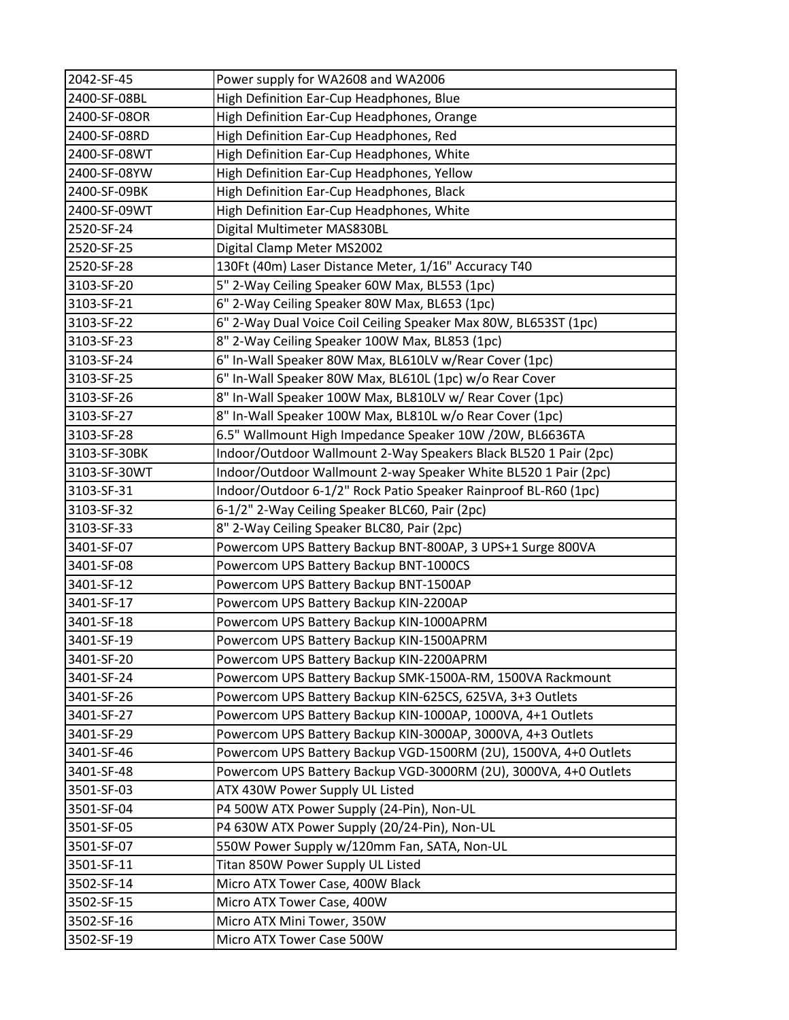| 2042-SF-45   | Power supply for WA2608 and WA2006                               |
|--------------|------------------------------------------------------------------|
| 2400-SF-08BL | High Definition Ear-Cup Headphones, Blue                         |
| 2400-SF-08OR | High Definition Ear-Cup Headphones, Orange                       |
| 2400-SF-08RD | High Definition Ear-Cup Headphones, Red                          |
| 2400-SF-08WT | High Definition Ear-Cup Headphones, White                        |
| 2400-SF-08YW | High Definition Ear-Cup Headphones, Yellow                       |
| 2400-SF-09BK | High Definition Ear-Cup Headphones, Black                        |
| 2400-SF-09WT | High Definition Ear-Cup Headphones, White                        |
| 2520-SF-24   | Digital Multimeter MAS830BL                                      |
| 2520-SF-25   | Digital Clamp Meter MS2002                                       |
| 2520-SF-28   | 130Ft (40m) Laser Distance Meter, 1/16" Accuracy T40             |
| 3103-SF-20   | 5" 2-Way Ceiling Speaker 60W Max, BL553 (1pc)                    |
| 3103-SF-21   | 6" 2-Way Ceiling Speaker 80W Max, BL653 (1pc)                    |
| 3103-SF-22   | 6" 2-Way Dual Voice Coil Ceiling Speaker Max 80W, BL653ST (1pc)  |
| 3103-SF-23   | 8" 2-Way Ceiling Speaker 100W Max, BL853 (1pc)                   |
| 3103-SF-24   | 6" In-Wall Speaker 80W Max, BL610LV w/Rear Cover (1pc)           |
| 3103-SF-25   | 6" In-Wall Speaker 80W Max, BL610L (1pc) w/o Rear Cover          |
| 3103-SF-26   | 8" In-Wall Speaker 100W Max, BL810LV w/ Rear Cover (1pc)         |
| 3103-SF-27   | 8" In-Wall Speaker 100W Max, BL810L w/o Rear Cover (1pc)         |
| 3103-SF-28   | 6.5" Wallmount High Impedance Speaker 10W /20W, BL6636TA         |
| 3103-SF-30BK | Indoor/Outdoor Wallmount 2-Way Speakers Black BL520 1 Pair (2pc) |
| 3103-SF-30WT | Indoor/Outdoor Wallmount 2-way Speaker White BL520 1 Pair (2pc)  |
| 3103-SF-31   | Indoor/Outdoor 6-1/2" Rock Patio Speaker Rainproof BL-R60 (1pc)  |
| 3103-SF-32   | 6-1/2" 2-Way Ceiling Speaker BLC60, Pair (2pc)                   |
| 3103-SF-33   | 8" 2-Way Ceiling Speaker BLC80, Pair (2pc)                       |
| 3401-SF-07   | Powercom UPS Battery Backup BNT-800AP, 3 UPS+1 Surge 800VA       |
| 3401-SF-08   | Powercom UPS Battery Backup BNT-1000CS                           |
| 3401-SF-12   | Powercom UPS Battery Backup BNT-1500AP                           |
| 3401-SF-17   | Powercom UPS Battery Backup KIN-2200AP                           |
| 3401-SF-18   | Powercom UPS Battery Backup KIN-1000APRM                         |
| 3401-SF-19   | Powercom UPS Battery Backup KIN-1500APRM                         |
| 3401-SF-20   | Powercom UPS Battery Backup KIN-2200APRM                         |
| 3401-SF-24   | Powercom UPS Battery Backup SMK-1500A-RM, 1500VA Rackmount       |
| 3401-SF-26   | Powercom UPS Battery Backup KIN-625CS, 625VA, 3+3 Outlets        |
| 3401-SF-27   | Powercom UPS Battery Backup KIN-1000AP, 1000VA, 4+1 Outlets      |
| 3401-SF-29   | Powercom UPS Battery Backup KIN-3000AP, 3000VA, 4+3 Outlets      |
| 3401-SF-46   | Powercom UPS Battery Backup VGD-1500RM (2U), 1500VA, 4+0 Outlets |
| 3401-SF-48   | Powercom UPS Battery Backup VGD-3000RM (2U), 3000VA, 4+0 Outlets |
| 3501-SF-03   | ATX 430W Power Supply UL Listed                                  |
| 3501-SF-04   | P4 500W ATX Power Supply (24-Pin), Non-UL                        |
| 3501-SF-05   | P4 630W ATX Power Supply (20/24-Pin), Non-UL                     |
| 3501-SF-07   | 550W Power Supply w/120mm Fan, SATA, Non-UL                      |
| 3501-SF-11   | Titan 850W Power Supply UL Listed                                |
| 3502-SF-14   | Micro ATX Tower Case, 400W Black                                 |
| 3502-SF-15   | Micro ATX Tower Case, 400W                                       |
| 3502-SF-16   | Micro ATX Mini Tower, 350W                                       |
| 3502-SF-19   | Micro ATX Tower Case 500W                                        |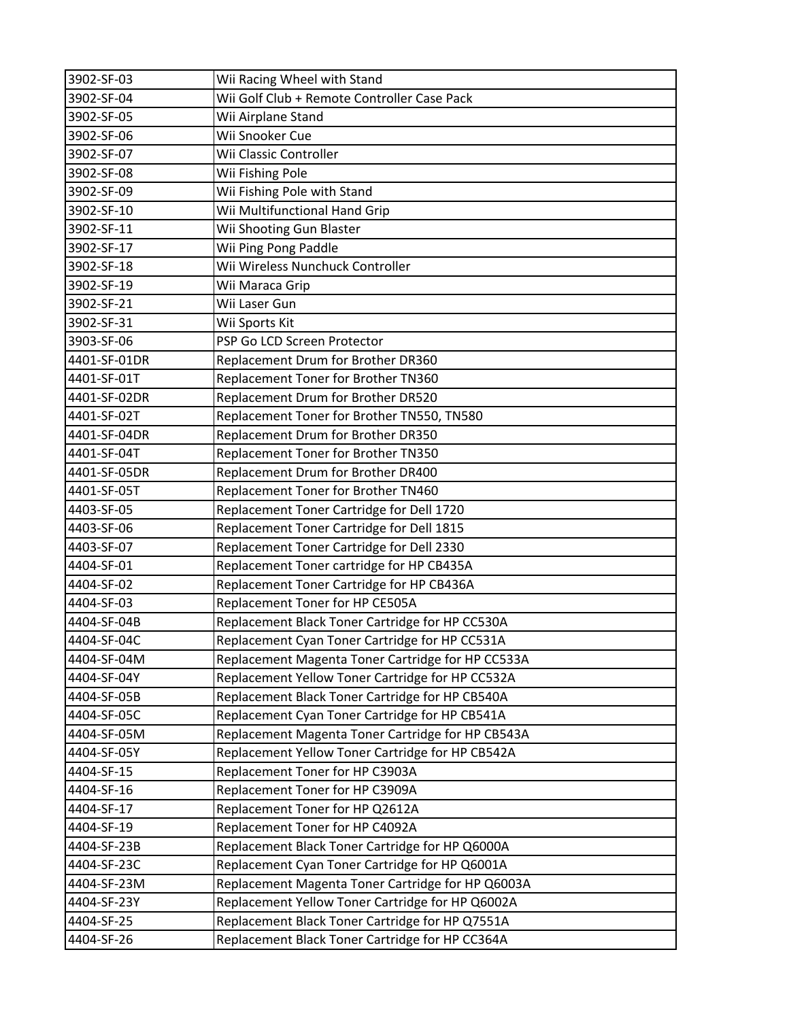| 3902-SF-03   | Wii Racing Wheel with Stand                       |
|--------------|---------------------------------------------------|
| 3902-SF-04   | Wii Golf Club + Remote Controller Case Pack       |
| 3902-SF-05   | Wii Airplane Stand                                |
| 3902-SF-06   | Wii Snooker Cue                                   |
| 3902-SF-07   | Wii Classic Controller                            |
| 3902-SF-08   | Wii Fishing Pole                                  |
| 3902-SF-09   | Wii Fishing Pole with Stand                       |
| 3902-SF-10   | Wii Multifunctional Hand Grip                     |
| 3902-SF-11   | Wii Shooting Gun Blaster                          |
| 3902-SF-17   | Wii Ping Pong Paddle                              |
| 3902-SF-18   | Wii Wireless Nunchuck Controller                  |
| 3902-SF-19   | Wii Maraca Grip                                   |
| 3902-SF-21   | Wii Laser Gun                                     |
| 3902-SF-31   | Wii Sports Kit                                    |
| 3903-SF-06   | PSP Go LCD Screen Protector                       |
| 4401-SF-01DR | Replacement Drum for Brother DR360                |
| 4401-SF-01T  | Replacement Toner for Brother TN360               |
| 4401-SF-02DR | Replacement Drum for Brother DR520                |
| 4401-SF-02T  | Replacement Toner for Brother TN550, TN580        |
| 4401-SF-04DR | Replacement Drum for Brother DR350                |
| 4401-SF-04T  | Replacement Toner for Brother TN350               |
| 4401-SF-05DR | Replacement Drum for Brother DR400                |
| 4401-SF-05T  | Replacement Toner for Brother TN460               |
| 4403-SF-05   | Replacement Toner Cartridge for Dell 1720         |
| 4403-SF-06   | Replacement Toner Cartridge for Dell 1815         |
| 4403-SF-07   | Replacement Toner Cartridge for Dell 2330         |
| 4404-SF-01   | Replacement Toner cartridge for HP CB435A         |
| 4404-SF-02   | Replacement Toner Cartridge for HP CB436A         |
| 4404-SF-03   | Replacement Toner for HP CE505A                   |
| 4404-SF-04B  | Replacement Black Toner Cartridge for HP CC530A   |
| 4404-SF-04C  | Replacement Cyan Toner Cartridge for HP CC531A    |
| 4404-SF-04M  | Replacement Magenta Toner Cartridge for HP CC533A |
| 4404-SF-04Y  | Replacement Yellow Toner Cartridge for HP CC532A  |
| 4404-SF-05B  | Replacement Black Toner Cartridge for HP CB540A   |
| 4404-SF-05C  | Replacement Cyan Toner Cartridge for HP CB541A    |
| 4404-SF-05M  | Replacement Magenta Toner Cartridge for HP CB543A |
| 4404-SF-05Y  | Replacement Yellow Toner Cartridge for HP CB542A  |
| 4404-SF-15   | Replacement Toner for HP C3903A                   |
| 4404-SF-16   | Replacement Toner for HP C3909A                   |
| 4404-SF-17   | Replacement Toner for HP Q2612A                   |
| 4404-SF-19   | Replacement Toner for HP C4092A                   |
| 4404-SF-23B  | Replacement Black Toner Cartridge for HP Q6000A   |
| 4404-SF-23C  | Replacement Cyan Toner Cartridge for HP Q6001A    |
| 4404-SF-23M  | Replacement Magenta Toner Cartridge for HP Q6003A |
| 4404-SF-23Y  | Replacement Yellow Toner Cartridge for HP Q6002A  |
| 4404-SF-25   | Replacement Black Toner Cartridge for HP Q7551A   |
| 4404-SF-26   | Replacement Black Toner Cartridge for HP CC364A   |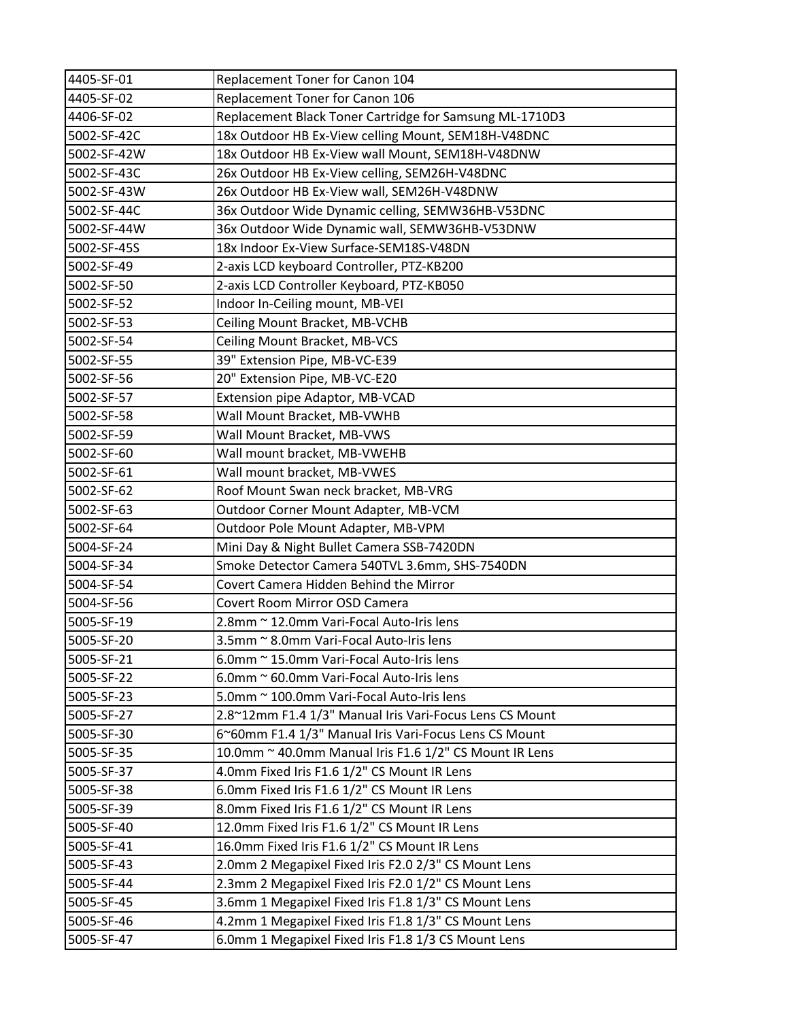| 4405-SF-01  | Replacement Toner for Canon 104                         |
|-------------|---------------------------------------------------------|
| 4405-SF-02  | Replacement Toner for Canon 106                         |
| 4406-SF-02  | Replacement Black Toner Cartridge for Samsung ML-1710D3 |
| 5002-SF-42C | 18x Outdoor HB Ex-View celling Mount, SEM18H-V48DNC     |
| 5002-SF-42W | 18x Outdoor HB Ex-View wall Mount, SEM18H-V48DNW        |
| 5002-SF-43C | 26x Outdoor HB Ex-View celling, SEM26H-V48DNC           |
| 5002-SF-43W | 26x Outdoor HB Ex-View wall, SEM26H-V48DNW              |
| 5002-SF-44C | 36x Outdoor Wide Dynamic celling, SEMW36HB-V53DNC       |
| 5002-SF-44W | 36x Outdoor Wide Dynamic wall, SEMW36HB-V53DNW          |
| 5002-SF-45S | 18x Indoor Ex-View Surface-SEM18S-V48DN                 |
| 5002-SF-49  | 2-axis LCD keyboard Controller, PTZ-KB200               |
| 5002-SF-50  | 2-axis LCD Controller Keyboard, PTZ-KB050               |
| 5002-SF-52  | Indoor In-Ceiling mount, MB-VEI                         |
| 5002-SF-53  | Ceiling Mount Bracket, MB-VCHB                          |
| 5002-SF-54  | Ceiling Mount Bracket, MB-VCS                           |
| 5002-SF-55  | 39" Extension Pipe, MB-VC-E39                           |
| 5002-SF-56  | 20" Extension Pipe, MB-VC-E20                           |
| 5002-SF-57  | Extension pipe Adaptor, MB-VCAD                         |
| 5002-SF-58  | Wall Mount Bracket, MB-VWHB                             |
| 5002-SF-59  | Wall Mount Bracket, MB-VWS                              |
| 5002-SF-60  | Wall mount bracket, MB-VWEHB                            |
| 5002-SF-61  | Wall mount bracket, MB-VWES                             |
| 5002-SF-62  | Roof Mount Swan neck bracket, MB-VRG                    |
| 5002-SF-63  | Outdoor Corner Mount Adapter, MB-VCM                    |
| 5002-SF-64  | Outdoor Pole Mount Adapter, MB-VPM                      |
| 5004-SF-24  | Mini Day & Night Bullet Camera SSB-7420DN               |
| 5004-SF-34  | Smoke Detector Camera 540TVL 3.6mm, SHS-7540DN          |
| 5004-SF-54  | Covert Camera Hidden Behind the Mirror                  |
| 5004-SF-56  | Covert Room Mirror OSD Camera                           |
| 5005-SF-19  | 2.8mm ~ 12.0mm Vari-Focal Auto-Iris lens                |
| 5005-SF-20  | 3.5mm ~ 8.0mm Vari-Focal Auto-Iris lens                 |
| 5005-SF-21  | 6.0mm ~ 15.0mm Vari-Focal Auto-Iris lens                |
| 5005-SF-22  | 6.0mm ~ 60.0mm Vari-Focal Auto-Iris lens                |
| 5005-SF-23  | 5.0mm ~ 100.0mm Vari-Focal Auto-Iris lens               |
| 5005-SF-27  | 2.8~12mm F1.4 1/3" Manual Iris Vari-Focus Lens CS Mount |
| 5005-SF-30  | 6~60mm F1.4 1/3" Manual Iris Vari-Focus Lens CS Mount   |
| 5005-SF-35  | 10.0mm ~ 40.0mm Manual Iris F1.6 1/2" CS Mount IR Lens  |
| 5005-SF-37  | 4.0mm Fixed Iris F1.6 1/2" CS Mount IR Lens             |
| 5005-SF-38  | 6.0mm Fixed Iris F1.6 1/2" CS Mount IR Lens             |
| 5005-SF-39  | 8.0mm Fixed Iris F1.6 1/2" CS Mount IR Lens             |
| 5005-SF-40  | 12.0mm Fixed Iris F1.6 1/2" CS Mount IR Lens            |
| 5005-SF-41  | 16.0mm Fixed Iris F1.6 1/2" CS Mount IR Lens            |
| 5005-SF-43  | 2.0mm 2 Megapixel Fixed Iris F2.0 2/3" CS Mount Lens    |
| 5005-SF-44  | 2.3mm 2 Megapixel Fixed Iris F2.0 1/2" CS Mount Lens    |
| 5005-SF-45  | 3.6mm 1 Megapixel Fixed Iris F1.8 1/3" CS Mount Lens    |
| 5005-SF-46  | 4.2mm 1 Megapixel Fixed Iris F1.8 1/3" CS Mount Lens    |
| 5005-SF-47  | 6.0mm 1 Megapixel Fixed Iris F1.8 1/3 CS Mount Lens     |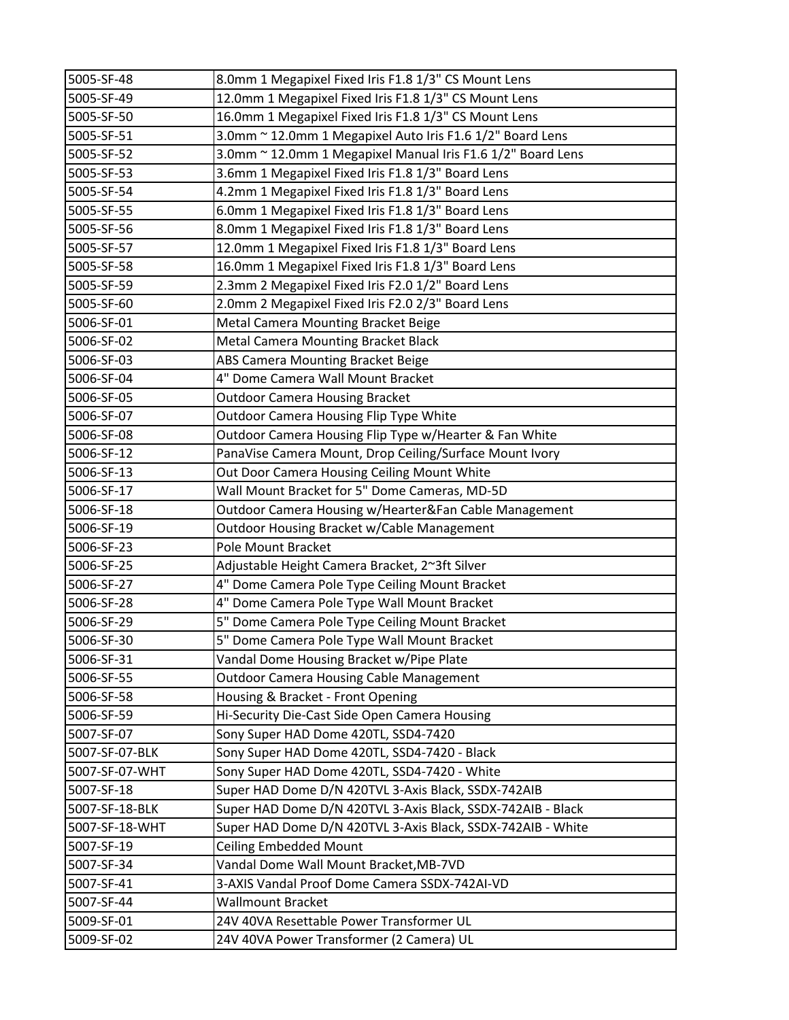| 5005-SF-48     | 8.0mm 1 Megapixel Fixed Iris F1.8 1/3" CS Mount Lens        |
|----------------|-------------------------------------------------------------|
| 5005-SF-49     | 12.0mm 1 Megapixel Fixed Iris F1.8 1/3" CS Mount Lens       |
| 5005-SF-50     | 16.0mm 1 Megapixel Fixed Iris F1.8 1/3" CS Mount Lens       |
| 5005-SF-51     | 3.0mm ~ 12.0mm 1 Megapixel Auto Iris F1.6 1/2" Board Lens   |
| 5005-SF-52     | 3.0mm ~ 12.0mm 1 Megapixel Manual Iris F1.6 1/2" Board Lens |
| 5005-SF-53     | 3.6mm 1 Megapixel Fixed Iris F1.8 1/3" Board Lens           |
| 5005-SF-54     | 4.2mm 1 Megapixel Fixed Iris F1.8 1/3" Board Lens           |
| 5005-SF-55     | 6.0mm 1 Megapixel Fixed Iris F1.8 1/3" Board Lens           |
| 5005-SF-56     | 8.0mm 1 Megapixel Fixed Iris F1.8 1/3" Board Lens           |
| 5005-SF-57     | 12.0mm 1 Megapixel Fixed Iris F1.8 1/3" Board Lens          |
| 5005-SF-58     | 16.0mm 1 Megapixel Fixed Iris F1.8 1/3" Board Lens          |
| 5005-SF-59     | 2.3mm 2 Megapixel Fixed Iris F2.0 1/2" Board Lens           |
| 5005-SF-60     | 2.0mm 2 Megapixel Fixed Iris F2.0 2/3" Board Lens           |
| 5006-SF-01     | Metal Camera Mounting Bracket Beige                         |
| 5006-SF-02     | Metal Camera Mounting Bracket Black                         |
| 5006-SF-03     | ABS Camera Mounting Bracket Beige                           |
| 5006-SF-04     | 4" Dome Camera Wall Mount Bracket                           |
| 5006-SF-05     | <b>Outdoor Camera Housing Bracket</b>                       |
| 5006-SF-07     | <b>Outdoor Camera Housing Flip Type White</b>               |
| 5006-SF-08     | Outdoor Camera Housing Flip Type w/Hearter & Fan White      |
| 5006-SF-12     | PanaVise Camera Mount, Drop Ceiling/Surface Mount Ivory     |
| 5006-SF-13     | Out Door Camera Housing Ceiling Mount White                 |
| 5006-SF-17     | Wall Mount Bracket for 5" Dome Cameras, MD-5D               |
| 5006-SF-18     | Outdoor Camera Housing w/Hearter&Fan Cable Management       |
| 5006-SF-19     | Outdoor Housing Bracket w/Cable Management                  |
| 5006-SF-23     | Pole Mount Bracket                                          |
| 5006-SF-25     | Adjustable Height Camera Bracket, 2~3ft Silver              |
| 5006-SF-27     | 4" Dome Camera Pole Type Ceiling Mount Bracket              |
| 5006-SF-28     | 4" Dome Camera Pole Type Wall Mount Bracket                 |
| 5006-SF-29     | 5" Dome Camera Pole Type Ceiling Mount Bracket              |
| 5006-SF-30     | 5" Dome Camera Pole Type Wall Mount Bracket                 |
| 5006-SF-31     | Vandal Dome Housing Bracket w/Pipe Plate                    |
| 5006-SF-55     | <b>Outdoor Camera Housing Cable Management</b>              |
| 5006-SF-58     | Housing & Bracket - Front Opening                           |
| 5006-SF-59     | Hi-Security Die-Cast Side Open Camera Housing               |
| 5007-SF-07     | Sony Super HAD Dome 420TL, SSD4-7420                        |
| 5007-SF-07-BLK | Sony Super HAD Dome 420TL, SSD4-7420 - Black                |
| 5007-SF-07-WHT | Sony Super HAD Dome 420TL, SSD4-7420 - White                |
| 5007-SF-18     | Super HAD Dome D/N 420TVL 3-Axis Black, SSDX-742AIB         |
| 5007-SF-18-BLK | Super HAD Dome D/N 420TVL 3-Axis Black, SSDX-742AIB - Black |
| 5007-SF-18-WHT | Super HAD Dome D/N 420TVL 3-Axis Black, SSDX-742AIB - White |
| 5007-SF-19     | <b>Ceiling Embedded Mount</b>                               |
| 5007-SF-34     | Vandal Dome Wall Mount Bracket, MB-7VD                      |
| 5007-SF-41     | 3-AXIS Vandal Proof Dome Camera SSDX-742AI-VD               |
| 5007-SF-44     | <b>Wallmount Bracket</b>                                    |
| 5009-SF-01     | 24V 40VA Resettable Power Transformer UL                    |
| 5009-SF-02     | 24V 40VA Power Transformer (2 Camera) UL                    |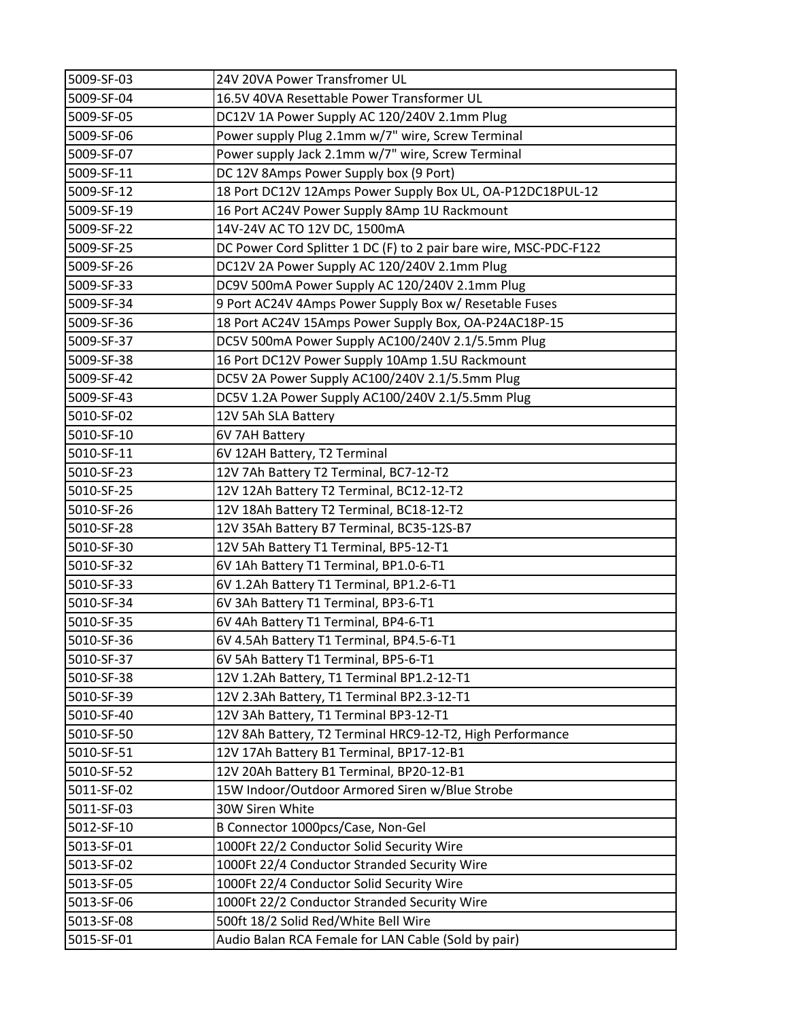| 5009-SF-03 | 24V 20VA Power Transfromer UL                                     |
|------------|-------------------------------------------------------------------|
| 5009-SF-04 | 16.5V 40VA Resettable Power Transformer UL                        |
| 5009-SF-05 | DC12V 1A Power Supply AC 120/240V 2.1mm Plug                      |
| 5009-SF-06 | Power supply Plug 2.1mm w/7" wire, Screw Terminal                 |
| 5009-SF-07 | Power supply Jack 2.1mm w/7" wire, Screw Terminal                 |
| 5009-SF-11 | DC 12V 8Amps Power Supply box (9 Port)                            |
| 5009-SF-12 | 18 Port DC12V 12Amps Power Supply Box UL, OA-P12DC18PUL-12        |
| 5009-SF-19 | 16 Port AC24V Power Supply 8Amp 1U Rackmount                      |
| 5009-SF-22 | 14V-24V AC TO 12V DC, 1500mA                                      |
| 5009-SF-25 | DC Power Cord Splitter 1 DC (F) to 2 pair bare wire, MSC-PDC-F122 |
| 5009-SF-26 | DC12V 2A Power Supply AC 120/240V 2.1mm Plug                      |
| 5009-SF-33 | DC9V 500mA Power Supply AC 120/240V 2.1mm Plug                    |
| 5009-SF-34 | 9 Port AC24V 4Amps Power Supply Box w/ Resetable Fuses            |
| 5009-SF-36 | 18 Port AC24V 15Amps Power Supply Box, OA-P24AC18P-15             |
| 5009-SF-37 | DC5V 500mA Power Supply AC100/240V 2.1/5.5mm Plug                 |
| 5009-SF-38 | 16 Port DC12V Power Supply 10Amp 1.5U Rackmount                   |
| 5009-SF-42 | DC5V 2A Power Supply AC100/240V 2.1/5.5mm Plug                    |
| 5009-SF-43 | DC5V 1.2A Power Supply AC100/240V 2.1/5.5mm Plug                  |
| 5010-SF-02 | 12V 5Ah SLA Battery                                               |
| 5010-SF-10 | 6V 7AH Battery                                                    |
| 5010-SF-11 | 6V 12AH Battery, T2 Terminal                                      |
| 5010-SF-23 | 12V 7Ah Battery T2 Terminal, BC7-12-T2                            |
| 5010-SF-25 | 12V 12Ah Battery T2 Terminal, BC12-12-T2                          |
| 5010-SF-26 | 12V 18Ah Battery T2 Terminal, BC18-12-T2                          |
| 5010-SF-28 | 12V 35Ah Battery B7 Terminal, BC35-12S-B7                         |
| 5010-SF-30 | 12V 5Ah Battery T1 Terminal, BP5-12-T1                            |
| 5010-SF-32 | 6V 1Ah Battery T1 Terminal, BP1.0-6-T1                            |
| 5010-SF-33 | 6V 1.2Ah Battery T1 Terminal, BP1.2-6-T1                          |
| 5010-SF-34 | 6V 3Ah Battery T1 Terminal, BP3-6-T1                              |
| 5010-SF-35 | 6V 4Ah Battery T1 Terminal, BP4-6-T1                              |
| 5010-SF-36 | 6V 4.5Ah Battery T1 Terminal, BP4.5-6-T1                          |
| 5010-SF-37 | 6V 5Ah Battery T1 Terminal, BP5-6-T1                              |
| 5010-SF-38 | 12V 1.2Ah Battery, T1 Terminal BP1.2-12-T1                        |
| 5010-SF-39 | 12V 2.3Ah Battery, T1 Terminal BP2.3-12-T1                        |
| 5010-SF-40 | 12V 3Ah Battery, T1 Terminal BP3-12-T1                            |
| 5010-SF-50 | 12V 8Ah Battery, T2 Terminal HRC9-12-T2, High Performance         |
| 5010-SF-51 | 12V 17Ah Battery B1 Terminal, BP17-12-B1                          |
| 5010-SF-52 | 12V 20Ah Battery B1 Terminal, BP20-12-B1                          |
| 5011-SF-02 | 15W Indoor/Outdoor Armored Siren w/Blue Strobe                    |
| 5011-SF-03 | 30W Siren White                                                   |
| 5012-SF-10 | B Connector 1000pcs/Case, Non-Gel                                 |
| 5013-SF-01 | 1000Ft 22/2 Conductor Solid Security Wire                         |
| 5013-SF-02 | 1000Ft 22/4 Conductor Stranded Security Wire                      |
| 5013-SF-05 | 1000Ft 22/4 Conductor Solid Security Wire                         |
| 5013-SF-06 | 1000Ft 22/2 Conductor Stranded Security Wire                      |
| 5013-SF-08 | 500ft 18/2 Solid Red/White Bell Wire                              |
| 5015-SF-01 | Audio Balan RCA Female for LAN Cable (Sold by pair)               |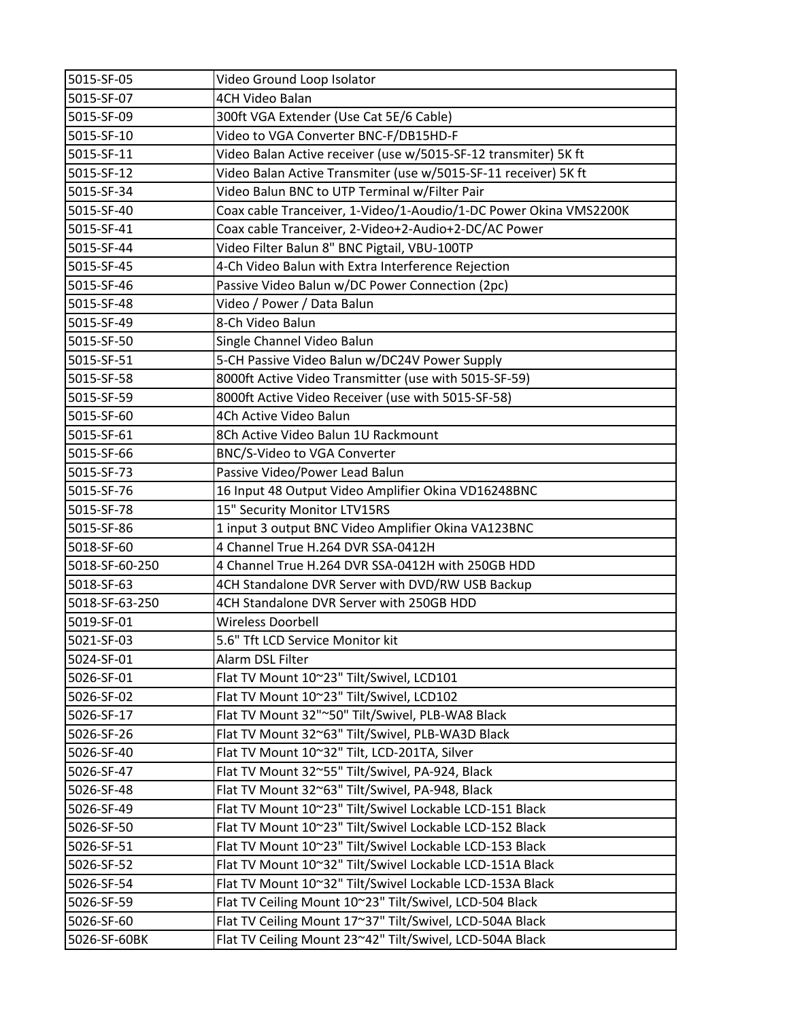| 5015-SF-05     | Video Ground Loop Isolator                                        |
|----------------|-------------------------------------------------------------------|
| 5015-SF-07     | 4CH Video Balan                                                   |
| 5015-SF-09     | 300ft VGA Extender (Use Cat 5E/6 Cable)                           |
| 5015-SF-10     | Video to VGA Converter BNC-F/DB15HD-F                             |
| 5015-SF-11     | Video Balan Active receiver (use w/5015-SF-12 transmiter) 5K ft   |
| 5015-SF-12     | Video Balan Active Transmiter (use w/5015-SF-11 receiver) 5K ft   |
| 5015-SF-34     | Video Balun BNC to UTP Terminal w/Filter Pair                     |
| 5015-SF-40     | Coax cable Tranceiver, 1-Video/1-Aoudio/1-DC Power Okina VMS2200K |
| 5015-SF-41     | Coax cable Tranceiver, 2-Video+2-Audio+2-DC/AC Power              |
| 5015-SF-44     | Video Filter Balun 8" BNC Pigtail, VBU-100TP                      |
| 5015-SF-45     | 4-Ch Video Balun with Extra Interference Rejection                |
| 5015-SF-46     | Passive Video Balun w/DC Power Connection (2pc)                   |
| 5015-SF-48     | Video / Power / Data Balun                                        |
| 5015-SF-49     | 8-Ch Video Balun                                                  |
| 5015-SF-50     | Single Channel Video Balun                                        |
| 5015-SF-51     | 5-CH Passive Video Balun w/DC24V Power Supply                     |
| 5015-SF-58     | 8000ft Active Video Transmitter (use with 5015-SF-59)             |
| 5015-SF-59     | 8000ft Active Video Receiver (use with 5015-SF-58)                |
| 5015-SF-60     | 4Ch Active Video Balun                                            |
| 5015-SF-61     | 8Ch Active Video Balun 1U Rackmount                               |
| 5015-SF-66     | BNC/S-Video to VGA Converter                                      |
| 5015-SF-73     | Passive Video/Power Lead Balun                                    |
| 5015-SF-76     | 16 Input 48 Output Video Amplifier Okina VD16248BNC               |
| 5015-SF-78     | 15" Security Monitor LTV15RS                                      |
| 5015-SF-86     | 1 input 3 output BNC Video Amplifier Okina VA123BNC               |
| 5018-SF-60     | 4 Channel True H.264 DVR SSA-0412H                                |
| 5018-SF-60-250 | 4 Channel True H.264 DVR SSA-0412H with 250GB HDD                 |
| 5018-SF-63     | 4CH Standalone DVR Server with DVD/RW USB Backup                  |
| 5018-SF-63-250 | 4CH Standalone DVR Server with 250GB HDD                          |
| 5019-SF-01     | Wireless Doorbell                                                 |
| 5021-SF-03     | 5.6" Tft LCD Service Monitor kit                                  |
| 5024-SF-01     | Alarm DSL Filter                                                  |
| 5026-SF-01     | Flat TV Mount 10~23" Tilt/Swivel, LCD101                          |
| 5026-SF-02     | Flat TV Mount 10~23" Tilt/Swivel, LCD102                          |
| 5026-SF-17     | Flat TV Mount 32"~50" Tilt/Swivel, PLB-WA8 Black                  |
| 5026-SF-26     | Flat TV Mount 32~63" Tilt/Swivel, PLB-WA3D Black                  |
| 5026-SF-40     | Flat TV Mount 10~32" Tilt, LCD-201TA, Silver                      |
| 5026-SF-47     | Flat TV Mount 32~55" Tilt/Swivel, PA-924, Black                   |
| 5026-SF-48     | Flat TV Mount 32~63" Tilt/Swivel, PA-948, Black                   |
| 5026-SF-49     | Flat TV Mount 10~23" Tilt/Swivel Lockable LCD-151 Black           |
| 5026-SF-50     | Flat TV Mount 10~23" Tilt/Swivel Lockable LCD-152 Black           |
| 5026-SF-51     | Flat TV Mount 10~23" Tilt/Swivel Lockable LCD-153 Black           |
| 5026-SF-52     | Flat TV Mount 10~32" Tilt/Swivel Lockable LCD-151A Black          |
| 5026-SF-54     | Flat TV Mount 10~32" Tilt/Swivel Lockable LCD-153A Black          |
| 5026-SF-59     | Flat TV Ceiling Mount 10~23" Tilt/Swivel, LCD-504 Black           |
| 5026-SF-60     | Flat TV Ceiling Mount 17~37" Tilt/Swivel, LCD-504A Black          |
| 5026-SF-60BK   | Flat TV Ceiling Mount 23~42" Tilt/Swivel, LCD-504A Black          |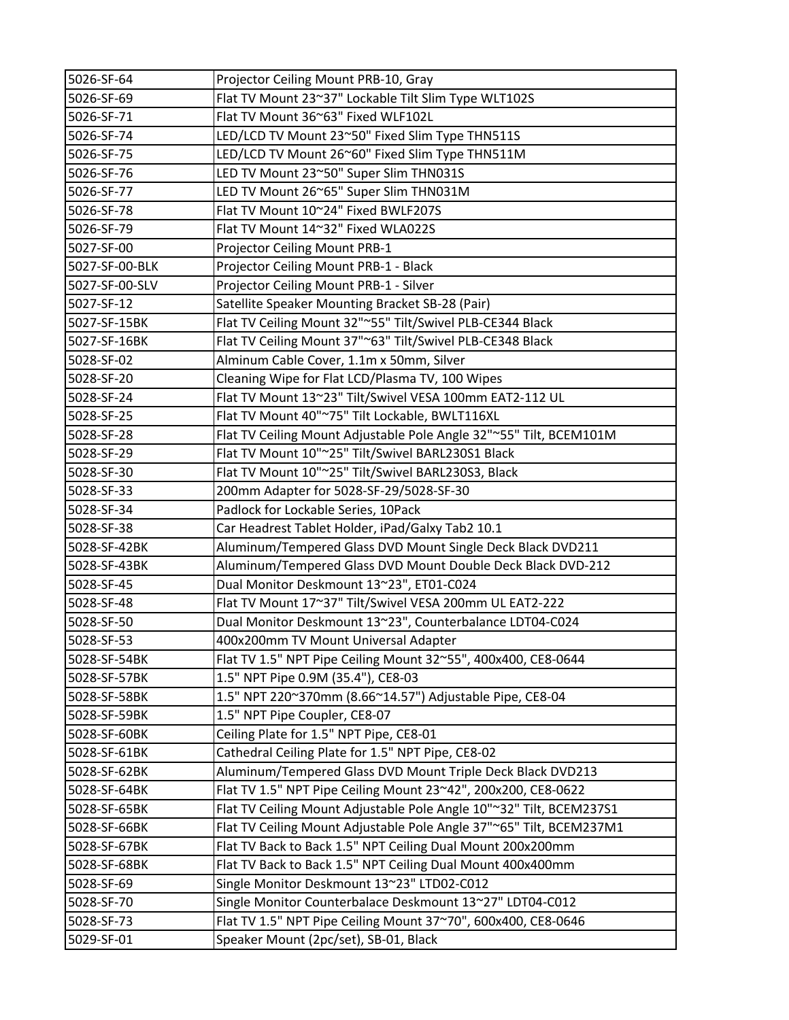| 5026-SF-64     | Projector Ceiling Mount PRB-10, Gray                                |
|----------------|---------------------------------------------------------------------|
| 5026-SF-69     | Flat TV Mount 23~37" Lockable Tilt Slim Type WLT102S                |
| 5026-SF-71     | Flat TV Mount 36~63" Fixed WLF102L                                  |
| 5026-SF-74     | LED/LCD TV Mount 23~50" Fixed Slim Type THN511S                     |
| 5026-SF-75     | LED/LCD TV Mount 26~60" Fixed Slim Type THN511M                     |
| 5026-SF-76     | LED TV Mount 23~50" Super Slim THN031S                              |
| 5026-SF-77     | LED TV Mount 26~65" Super Slim THN031M                              |
| 5026-SF-78     | Flat TV Mount 10~24" Fixed BWLF207S                                 |
| 5026-SF-79     | Flat TV Mount 14~32" Fixed WLA022S                                  |
| 5027-SF-00     | Projector Ceiling Mount PRB-1                                       |
| 5027-SF-00-BLK | Projector Ceiling Mount PRB-1 - Black                               |
| 5027-SF-00-SLV | Projector Ceiling Mount PRB-1 - Silver                              |
| 5027-SF-12     | Satellite Speaker Mounting Bracket SB-28 (Pair)                     |
| 5027-SF-15BK   | Flat TV Ceiling Mount 32"~55" Tilt/Swivel PLB-CE344 Black           |
| 5027-SF-16BK   | Flat TV Ceiling Mount 37"~63" Tilt/Swivel PLB-CE348 Black           |
| 5028-SF-02     | Alminum Cable Cover, 1.1m x 50mm, Silver                            |
| 5028-SF-20     | Cleaning Wipe for Flat LCD/Plasma TV, 100 Wipes                     |
| 5028-SF-24     | Flat TV Mount 13~23" Tilt/Swivel VESA 100mm EAT2-112 UL             |
| 5028-SF-25     | Flat TV Mount 40"~75" Tilt Lockable, BWLT116XL                      |
| 5028-SF-28     | Flat TV Ceiling Mount Adjustable Pole Angle 32"~55" Tilt, BCEM101M  |
| 5028-SF-29     | Flat TV Mount 10"~25" Tilt/Swivel BARL230S1 Black                   |
| 5028-SF-30     | Flat TV Mount 10"~25" Tilt/Swivel BARL230S3, Black                  |
| 5028-SF-33     | 200mm Adapter for 5028-SF-29/5028-SF-30                             |
| 5028-SF-34     | Padlock for Lockable Series, 10Pack                                 |
| 5028-SF-38     | Car Headrest Tablet Holder, iPad/Galxy Tab2 10.1                    |
| 5028-SF-42BK   | Aluminum/Tempered Glass DVD Mount Single Deck Black DVD211          |
| 5028-SF-43BK   | Aluminum/Tempered Glass DVD Mount Double Deck Black DVD-212         |
| 5028-SF-45     | Dual Monitor Deskmount 13~23", ET01-C024                            |
| 5028-SF-48     | Flat TV Mount 17~37" Tilt/Swivel VESA 200mm UL EAT2-222             |
| 5028-SF-50     | Dual Monitor Deskmount 13~23", Counterbalance LDT04-C024            |
| 5028-SF-53     | 400x200mm TV Mount Universal Adapter                                |
| 5028-SF-54BK   | Flat TV 1.5" NPT Pipe Ceiling Mount 32~55", 400x400, CE8-0644       |
| 5028-SF-57BK   | 1.5" NPT Pipe 0.9M (35.4"), CE8-03                                  |
| 5028-SF-58BK   | 1.5" NPT 220~370mm (8.66~14.57") Adjustable Pipe, CE8-04            |
| 5028-SF-59BK   | 1.5" NPT Pipe Coupler, CE8-07                                       |
| 5028-SF-60BK   | Ceiling Plate for 1.5" NPT Pipe, CE8-01                             |
| 5028-SF-61BK   | Cathedral Ceiling Plate for 1.5" NPT Pipe, CE8-02                   |
| 5028-SF-62BK   | Aluminum/Tempered Glass DVD Mount Triple Deck Black DVD213          |
| 5028-SF-64BK   | Flat TV 1.5" NPT Pipe Ceiling Mount 23~42", 200x200, CE8-0622       |
| 5028-SF-65BK   | Flat TV Ceiling Mount Adjustable Pole Angle 10"~32" Tilt, BCEM237S1 |
| 5028-SF-66BK   | Flat TV Ceiling Mount Adjustable Pole Angle 37"~65" Tilt, BCEM237M1 |
| 5028-SF-67BK   | Flat TV Back to Back 1.5" NPT Ceiling Dual Mount 200x200mm          |
| 5028-SF-68BK   | Flat TV Back to Back 1.5" NPT Ceiling Dual Mount 400x400mm          |
| 5028-SF-69     | Single Monitor Deskmount 13~23" LTD02-C012                          |
| 5028-SF-70     | Single Monitor Counterbalace Deskmount 13~27" LDT04-C012            |
| 5028-SF-73     | Flat TV 1.5" NPT Pipe Ceiling Mount 37~70", 600x400, CE8-0646       |
| 5029-SF-01     | Speaker Mount (2pc/set), SB-01, Black                               |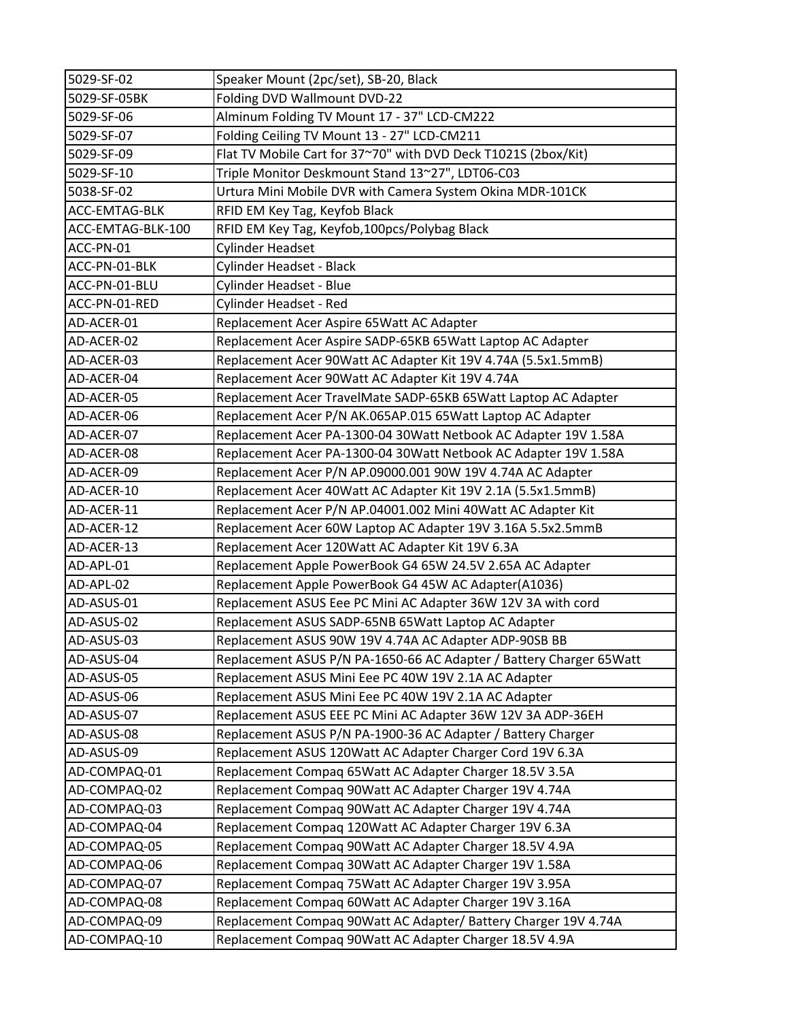| 5029-SF-02        | Speaker Mount (2pc/set), SB-20, Black                               |
|-------------------|---------------------------------------------------------------------|
| 5029-SF-05BK      | Folding DVD Wallmount DVD-22                                        |
| 5029-SF-06        | Alminum Folding TV Mount 17 - 37" LCD-CM222                         |
| 5029-SF-07        | Folding Ceiling TV Mount 13 - 27" LCD-CM211                         |
| 5029-SF-09        | Flat TV Mobile Cart for 37~70" with DVD Deck T1021S (2box/Kit)      |
| 5029-SF-10        | Triple Monitor Deskmount Stand 13~27", LDT06-C03                    |
| 5038-SF-02        | Urtura Mini Mobile DVR with Camera System Okina MDR-101CK           |
| ACC-EMTAG-BLK     | RFID EM Key Tag, Keyfob Black                                       |
| ACC-EMTAG-BLK-100 | RFID EM Key Tag, Keyfob, 100pcs/Polybag Black                       |
| ACC-PN-01         | <b>Cylinder Headset</b>                                             |
| ACC-PN-01-BLK     | Cylinder Headset - Black                                            |
| ACC-PN-01-BLU     | Cylinder Headset - Blue                                             |
| ACC-PN-01-RED     | Cylinder Headset - Red                                              |
| AD-ACER-01        | Replacement Acer Aspire 65Watt AC Adapter                           |
| AD-ACER-02        | Replacement Acer Aspire SADP-65KB 65Watt Laptop AC Adapter          |
| AD-ACER-03        | Replacement Acer 90Watt AC Adapter Kit 19V 4.74A (5.5x1.5mmB)       |
| AD-ACER-04        | Replacement Acer 90Watt AC Adapter Kit 19V 4.74A                    |
| AD-ACER-05        | Replacement Acer TravelMate SADP-65KB 65Watt Laptop AC Adapter      |
| AD-ACER-06        | Replacement Acer P/N AK.065AP.015 65Watt Laptop AC Adapter          |
| AD-ACER-07        | Replacement Acer PA-1300-04 30Watt Netbook AC Adapter 19V 1.58A     |
| AD-ACER-08        | Replacement Acer PA-1300-04 30Watt Netbook AC Adapter 19V 1.58A     |
| AD-ACER-09        | Replacement Acer P/N AP.09000.001 90W 19V 4.74A AC Adapter          |
| AD-ACER-10        | Replacement Acer 40Watt AC Adapter Kit 19V 2.1A (5.5x1.5mmB)        |
| AD-ACER-11        | Replacement Acer P/N AP.04001.002 Mini 40Watt AC Adapter Kit        |
| AD-ACER-12        | Replacement Acer 60W Laptop AC Adapter 19V 3.16A 5.5x2.5mmB         |
| AD-ACER-13        | Replacement Acer 120Watt AC Adapter Kit 19V 6.3A                    |
| AD-APL-01         | Replacement Apple PowerBook G4 65W 24.5V 2.65A AC Adapter           |
| AD-APL-02         | Replacement Apple PowerBook G4 45W AC Adapter(A1036)                |
| AD-ASUS-01        | Replacement ASUS Eee PC Mini AC Adapter 36W 12V 3A with cord        |
| AD-ASUS-02        | Replacement ASUS SADP-65NB 65Watt Laptop AC Adapter                 |
| AD-ASUS-03        | Replacement ASUS 90W 19V 4.74A AC Adapter ADP-90SB BB               |
| AD-ASUS-04        | Replacement ASUS P/N PA-1650-66 AC Adapter / Battery Charger 65Watt |
| AD-ASUS-05        | Replacement ASUS Mini Eee PC 40W 19V 2.1A AC Adapter                |
| AD-ASUS-06        | Replacement ASUS Mini Eee PC 40W 19V 2.1A AC Adapter                |
| AD-ASUS-07        | Replacement ASUS EEE PC Mini AC Adapter 36W 12V 3A ADP-36EH         |
| AD-ASUS-08        | Replacement ASUS P/N PA-1900-36 AC Adapter / Battery Charger        |
| AD-ASUS-09        | Replacement ASUS 120Watt AC Adapter Charger Cord 19V 6.3A           |
| AD-COMPAQ-01      | Replacement Compaq 65Watt AC Adapter Charger 18.5V 3.5A             |
| AD-COMPAQ-02      | Replacement Compaq 90Watt AC Adapter Charger 19V 4.74A              |
| AD-COMPAQ-03      | Replacement Compaq 90Watt AC Adapter Charger 19V 4.74A              |
| AD-COMPAQ-04      | Replacement Compaq 120Watt AC Adapter Charger 19V 6.3A              |
| AD-COMPAQ-05      | Replacement Compaq 90Watt AC Adapter Charger 18.5V 4.9A             |
| AD-COMPAQ-06      | Replacement Compaq 30Watt AC Adapter Charger 19V 1.58A              |
| AD-COMPAQ-07      | Replacement Compaq 75Watt AC Adapter Charger 19V 3.95A              |
| AD-COMPAQ-08      | Replacement Compaq 60Watt AC Adapter Charger 19V 3.16A              |
| AD-COMPAQ-09      | Replacement Compaq 90Watt AC Adapter/ Battery Charger 19V 4.74A     |
| AD-COMPAQ-10      | Replacement Compaq 90Watt AC Adapter Charger 18.5V 4.9A             |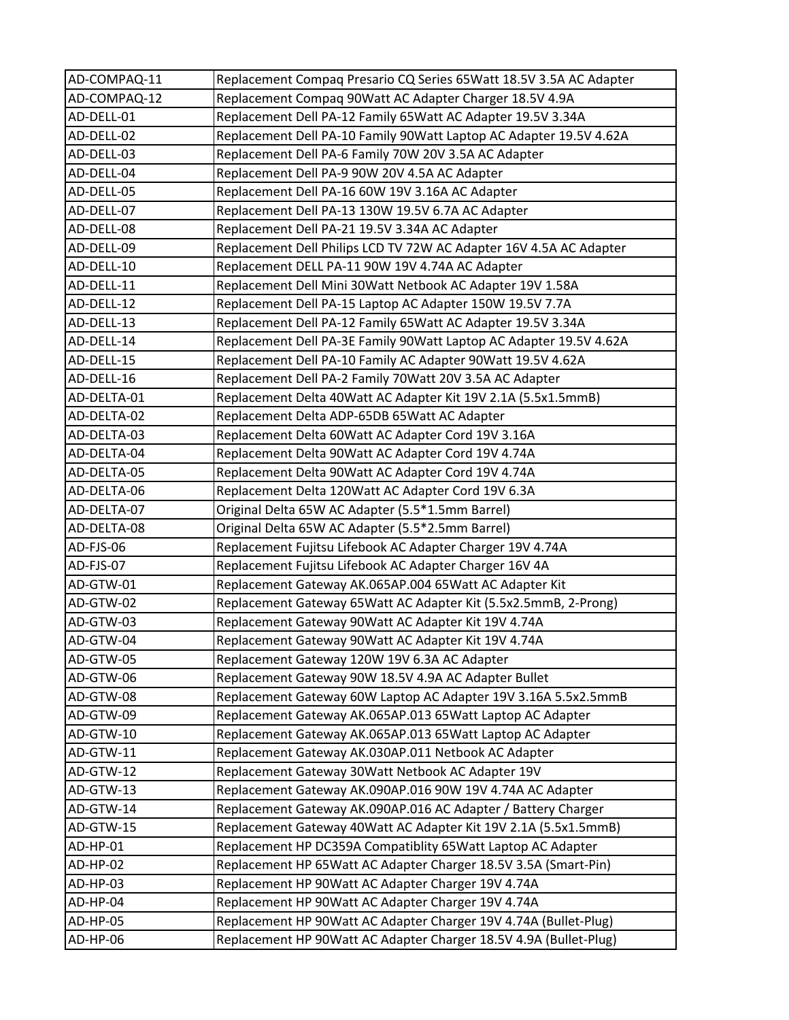| AD-COMPAQ-11 | Replacement Compaq Presario CQ Series 65Watt 18.5V 3.5A AC Adapter |
|--------------|--------------------------------------------------------------------|
| AD-COMPAQ-12 | Replacement Compaq 90Watt AC Adapter Charger 18.5V 4.9A            |
| AD-DELL-01   | Replacement Dell PA-12 Family 65Watt AC Adapter 19.5V 3.34A        |
| AD-DELL-02   | Replacement Dell PA-10 Family 90Watt Laptop AC Adapter 19.5V 4.62A |
| AD-DELL-03   | Replacement Dell PA-6 Family 70W 20V 3.5A AC Adapter               |
| AD-DELL-04   | Replacement Dell PA-9 90W 20V 4.5A AC Adapter                      |
| AD-DELL-05   | Replacement Dell PA-16 60W 19V 3.16A AC Adapter                    |
| AD-DELL-07   | Replacement Dell PA-13 130W 19.5V 6.7A AC Adapter                  |
| AD-DELL-08   | Replacement Dell PA-21 19.5V 3.34A AC Adapter                      |
| AD-DELL-09   | Replacement Dell Philips LCD TV 72W AC Adapter 16V 4.5A AC Adapter |
| AD-DELL-10   | Replacement DELL PA-11 90W 19V 4.74A AC Adapter                    |
| AD-DELL-11   | Replacement Dell Mini 30Watt Netbook AC Adapter 19V 1.58A          |
| AD-DELL-12   | Replacement Dell PA-15 Laptop AC Adapter 150W 19.5V 7.7A           |
| AD-DELL-13   | Replacement Dell PA-12 Family 65Watt AC Adapter 19.5V 3.34A        |
| AD-DELL-14   | Replacement Dell PA-3E Family 90Watt Laptop AC Adapter 19.5V 4.62A |
| AD-DELL-15   | Replacement Dell PA-10 Family AC Adapter 90Watt 19.5V 4.62A        |
| AD-DELL-16   | Replacement Dell PA-2 Family 70Watt 20V 3.5A AC Adapter            |
| AD-DELTA-01  | Replacement Delta 40Watt AC Adapter Kit 19V 2.1A (5.5x1.5mmB)      |
| AD-DELTA-02  | Replacement Delta ADP-65DB 65Watt AC Adapter                       |
| AD-DELTA-03  | Replacement Delta 60Watt AC Adapter Cord 19V 3.16A                 |
| AD-DELTA-04  | Replacement Delta 90Watt AC Adapter Cord 19V 4.74A                 |
| AD-DELTA-05  | Replacement Delta 90Watt AC Adapter Cord 19V 4.74A                 |
| AD-DELTA-06  | Replacement Delta 120Watt AC Adapter Cord 19V 6.3A                 |
| AD-DELTA-07  | Original Delta 65W AC Adapter (5.5*1.5mm Barrel)                   |
| AD-DELTA-08  | Original Delta 65W AC Adapter (5.5*2.5mm Barrel)                   |
| AD-FJS-06    | Replacement Fujitsu Lifebook AC Adapter Charger 19V 4.74A          |
| AD-FJS-07    | Replacement Fujitsu Lifebook AC Adapter Charger 16V 4A             |
| AD-GTW-01    | Replacement Gateway AK.065AP.004 65Watt AC Adapter Kit             |
| AD-GTW-02    | Replacement Gateway 65Watt AC Adapter Kit (5.5x2.5mmB, 2-Prong)    |
| AD-GTW-03    | Replacement Gateway 90Watt AC Adapter Kit 19V 4.74A                |
| AD-GTW-04    | Replacement Gateway 90Watt AC Adapter Kit 19V 4.74A                |
| AD-GTW-05    | Replacement Gateway 120W 19V 6.3A AC Adapter                       |
| AD-GTW-06    | Replacement Gateway 90W 18.5V 4.9A AC Adapter Bullet               |
| AD-GTW-08    | Replacement Gateway 60W Laptop AC Adapter 19V 3.16A 5.5x2.5mmB     |
| AD-GTW-09    | Replacement Gateway AK.065AP.013 65Watt Laptop AC Adapter          |
| AD-GTW-10    | Replacement Gateway AK.065AP.013 65Watt Laptop AC Adapter          |
| AD-GTW-11    | Replacement Gateway AK.030AP.011 Netbook AC Adapter                |
| AD-GTW-12    | Replacement Gateway 30Watt Netbook AC Adapter 19V                  |
| AD-GTW-13    | Replacement Gateway AK.090AP.016 90W 19V 4.74A AC Adapter          |
| AD-GTW-14    | Replacement Gateway AK.090AP.016 AC Adapter / Battery Charger      |
| AD-GTW-15    | Replacement Gateway 40Watt AC Adapter Kit 19V 2.1A (5.5x1.5mmB)    |
| AD-HP-01     | Replacement HP DC359A Compatiblity 65Watt Laptop AC Adapter        |
| AD-HP-02     | Replacement HP 65Watt AC Adapter Charger 18.5V 3.5A (Smart-Pin)    |
| AD-HP-03     | Replacement HP 90Watt AC Adapter Charger 19V 4.74A                 |
| AD-HP-04     | Replacement HP 90Watt AC Adapter Charger 19V 4.74A                 |
| AD-HP-05     | Replacement HP 90Watt AC Adapter Charger 19V 4.74A (Bullet-Plug)   |
| AD-HP-06     | Replacement HP 90Watt AC Adapter Charger 18.5V 4.9A (Bullet-Plug)  |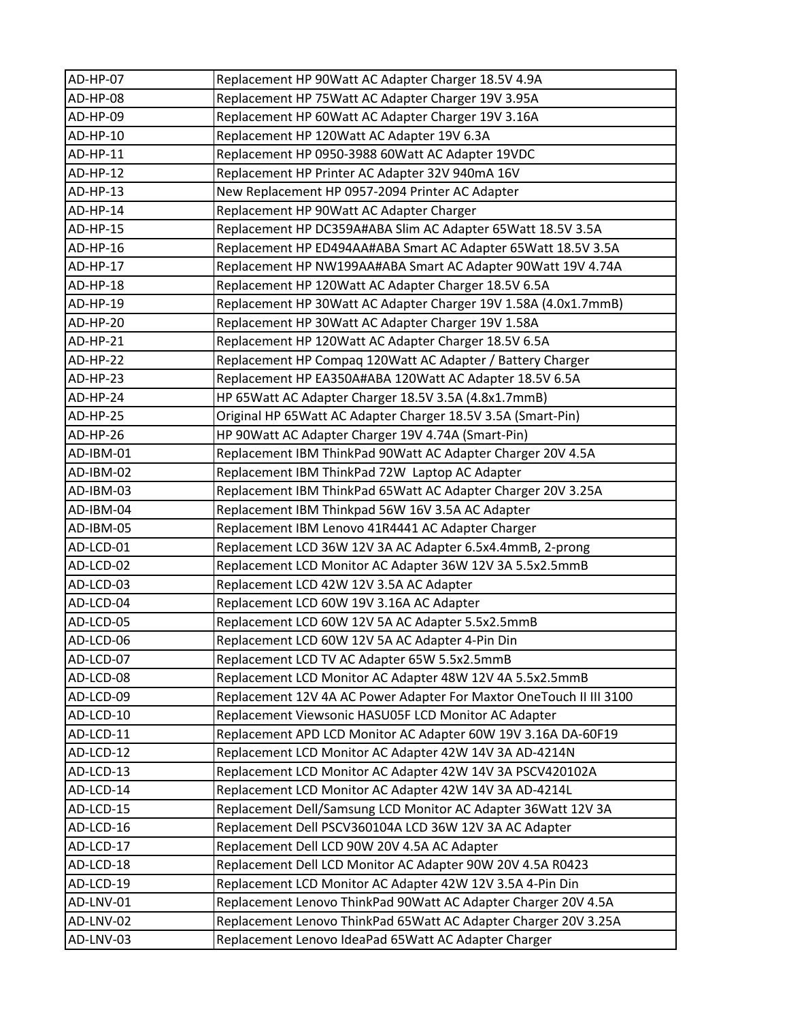| AD-HP-07  | Replacement HP 90Watt AC Adapter Charger 18.5V 4.9A                 |
|-----------|---------------------------------------------------------------------|
| AD-HP-08  | Replacement HP 75Watt AC Adapter Charger 19V 3.95A                  |
| AD-HP-09  | Replacement HP 60Watt AC Adapter Charger 19V 3.16A                  |
| AD-HP-10  | Replacement HP 120Watt AC Adapter 19V 6.3A                          |
| AD-HP-11  | Replacement HP 0950-3988 60Watt AC Adapter 19VDC                    |
| AD-HP-12  | Replacement HP Printer AC Adapter 32V 940mA 16V                     |
| AD-HP-13  | New Replacement HP 0957-2094 Printer AC Adapter                     |
| AD-HP-14  | Replacement HP 90Watt AC Adapter Charger                            |
| AD-HP-15  | Replacement HP DC359A#ABA Slim AC Adapter 65Watt 18.5V 3.5A         |
| AD-HP-16  | Replacement HP ED494AA#ABA Smart AC Adapter 65Watt 18.5V 3.5A       |
| AD-HP-17  | Replacement HP NW199AA#ABA Smart AC Adapter 90Watt 19V 4.74A        |
| AD-HP-18  | Replacement HP 120Watt AC Adapter Charger 18.5V 6.5A                |
| AD-HP-19  | Replacement HP 30Watt AC Adapter Charger 19V 1.58A (4.0x1.7mmB)     |
| AD-HP-20  | Replacement HP 30Watt AC Adapter Charger 19V 1.58A                  |
| AD-HP-21  | Replacement HP 120Watt AC Adapter Charger 18.5V 6.5A                |
| AD-HP-22  | Replacement HP Compaq 120Watt AC Adapter / Battery Charger          |
| AD-HP-23  | Replacement HP EA350A#ABA 120Watt AC Adapter 18.5V 6.5A             |
| AD-HP-24  | HP 65Watt AC Adapter Charger 18.5V 3.5A (4.8x1.7mmB)                |
| AD-HP-25  | Original HP 65Watt AC Adapter Charger 18.5V 3.5A (Smart-Pin)        |
| AD-HP-26  | HP 90Watt AC Adapter Charger 19V 4.74A (Smart-Pin)                  |
| AD-IBM-01 | Replacement IBM ThinkPad 90Watt AC Adapter Charger 20V 4.5A         |
| AD-IBM-02 | Replacement IBM ThinkPad 72W Laptop AC Adapter                      |
| AD-IBM-03 | Replacement IBM ThinkPad 65Watt AC Adapter Charger 20V 3.25A        |
| AD-IBM-04 | Replacement IBM Thinkpad 56W 16V 3.5A AC Adapter                    |
| AD-IBM-05 | Replacement IBM Lenovo 41R4441 AC Adapter Charger                   |
| AD-LCD-01 | Replacement LCD 36W 12V 3A AC Adapter 6.5x4.4mmB, 2-prong           |
| AD-LCD-02 | Replacement LCD Monitor AC Adapter 36W 12V 3A 5.5x2.5mmB            |
| AD-LCD-03 | Replacement LCD 42W 12V 3.5A AC Adapter                             |
| AD-LCD-04 | Replacement LCD 60W 19V 3.16A AC Adapter                            |
| AD-LCD-05 | Replacement LCD 60W 12V 5A AC Adapter 5.5x2.5mmB                    |
| AD-LCD-06 | Replacement LCD 60W 12V 5A AC Adapter 4-Pin Din                     |
| AD-LCD-07 | Replacement LCD TV AC Adapter 65W 5.5x2.5mmB                        |
| AD-LCD-08 | Replacement LCD Monitor AC Adapter 48W 12V 4A 5.5x2.5mmB            |
| AD-LCD-09 | Replacement 12V 4A AC Power Adapter For Maxtor OneTouch II III 3100 |
| AD-LCD-10 | Replacement Viewsonic HASU05F LCD Monitor AC Adapter                |
| AD-LCD-11 | Replacement APD LCD Monitor AC Adapter 60W 19V 3.16A DA-60F19       |
| AD-LCD-12 | Replacement LCD Monitor AC Adapter 42W 14V 3A AD-4214N              |
| AD-LCD-13 | Replacement LCD Monitor AC Adapter 42W 14V 3A PSCV420102A           |
| AD-LCD-14 | Replacement LCD Monitor AC Adapter 42W 14V 3A AD-4214L              |
| AD-LCD-15 | Replacement Dell/Samsung LCD Monitor AC Adapter 36Watt 12V 3A       |
| AD-LCD-16 | Replacement Dell PSCV360104A LCD 36W 12V 3A AC Adapter              |
| AD-LCD-17 | Replacement Dell LCD 90W 20V 4.5A AC Adapter                        |
| AD-LCD-18 | Replacement Dell LCD Monitor AC Adapter 90W 20V 4.5A R0423          |
| AD-LCD-19 | Replacement LCD Monitor AC Adapter 42W 12V 3.5A 4-Pin Din           |
| AD-LNV-01 | Replacement Lenovo ThinkPad 90Watt AC Adapter Charger 20V 4.5A      |
| AD-LNV-02 | Replacement Lenovo ThinkPad 65Watt AC Adapter Charger 20V 3.25A     |
| AD-LNV-03 | Replacement Lenovo IdeaPad 65Watt AC Adapter Charger                |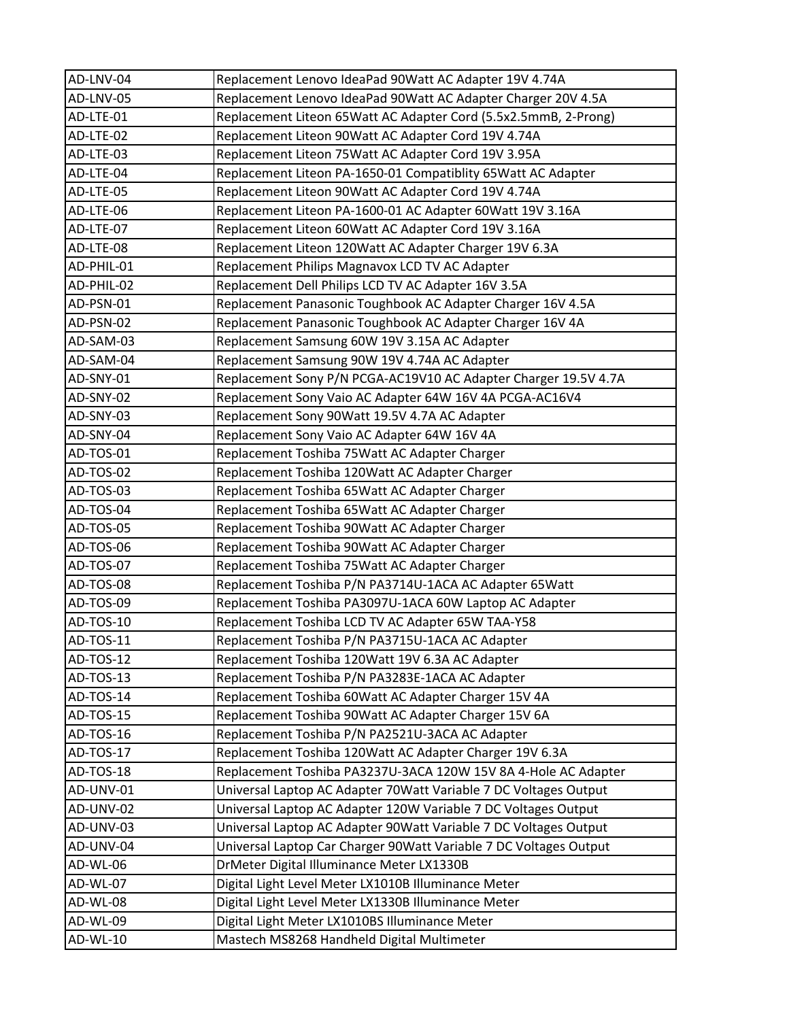| AD-LNV-04  | Replacement Lenovo IdeaPad 90Watt AC Adapter 19V 4.74A            |
|------------|-------------------------------------------------------------------|
| AD-LNV-05  | Replacement Lenovo IdeaPad 90Watt AC Adapter Charger 20V 4.5A     |
| AD-LTE-01  | Replacement Liteon 65Watt AC Adapter Cord (5.5x2.5mmB, 2-Prong)   |
| AD-LTE-02  | Replacement Liteon 90Watt AC Adapter Cord 19V 4.74A               |
| AD-LTE-03  | Replacement Liteon 75 Watt AC Adapter Cord 19V 3.95A              |
| AD-LTE-04  | Replacement Liteon PA-1650-01 Compatiblity 65 Watt AC Adapter     |
| AD-LTE-05  | Replacement Liteon 90Watt AC Adapter Cord 19V 4.74A               |
| AD-LTE-06  | Replacement Liteon PA-1600-01 AC Adapter 60Watt 19V 3.16A         |
| AD-LTE-07  | Replacement Liteon 60Watt AC Adapter Cord 19V 3.16A               |
| AD-LTE-08  | Replacement Liteon 120Watt AC Adapter Charger 19V 6.3A            |
| AD-PHIL-01 | Replacement Philips Magnavox LCD TV AC Adapter                    |
| AD-PHIL-02 | Replacement Dell Philips LCD TV AC Adapter 16V 3.5A               |
| AD-PSN-01  | Replacement Panasonic Toughbook AC Adapter Charger 16V 4.5A       |
| AD-PSN-02  | Replacement Panasonic Toughbook AC Adapter Charger 16V 4A         |
| AD-SAM-03  | Replacement Samsung 60W 19V 3.15A AC Adapter                      |
| AD-SAM-04  | Replacement Samsung 90W 19V 4.74A AC Adapter                      |
| AD-SNY-01  | Replacement Sony P/N PCGA-AC19V10 AC Adapter Charger 19.5V 4.7A   |
| AD-SNY-02  | Replacement Sony Vaio AC Adapter 64W 16V 4A PCGA-AC16V4           |
| AD-SNY-03  | Replacement Sony 90Watt 19.5V 4.7A AC Adapter                     |
| AD-SNY-04  | Replacement Sony Vaio AC Adapter 64W 16V 4A                       |
| AD-TOS-01  | Replacement Toshiba 75Watt AC Adapter Charger                     |
| AD-TOS-02  | Replacement Toshiba 120Watt AC Adapter Charger                    |
| AD-TOS-03  | Replacement Toshiba 65Watt AC Adapter Charger                     |
| AD-TOS-04  | Replacement Toshiba 65Watt AC Adapter Charger                     |
| AD-TOS-05  | Replacement Toshiba 90Watt AC Adapter Charger                     |
| AD-TOS-06  | Replacement Toshiba 90Watt AC Adapter Charger                     |
| AD-TOS-07  | Replacement Toshiba 75Watt AC Adapter Charger                     |
| AD-TOS-08  | Replacement Toshiba P/N PA3714U-1ACA AC Adapter 65Watt            |
| AD-TOS-09  | Replacement Toshiba PA3097U-1ACA 60W Laptop AC Adapter            |
| AD-TOS-10  | Replacement Toshiba LCD TV AC Adapter 65W TAA-Y58                 |
| AD-TOS-11  | Replacement Toshiba P/N PA3715U-1ACA AC Adapter                   |
| AD-TOS-12  | Replacement Toshiba 120Watt 19V 6.3A AC Adapter                   |
| AD-TOS-13  | Replacement Toshiba P/N PA3283E-1ACA AC Adapter                   |
| AD-TOS-14  | Replacement Toshiba 60Watt AC Adapter Charger 15V 4A              |
| AD-TOS-15  | Replacement Toshiba 90Watt AC Adapter Charger 15V 6A              |
| AD-TOS-16  | Replacement Toshiba P/N PA2521U-3ACA AC Adapter                   |
| AD-TOS-17  | Replacement Toshiba 120Watt AC Adapter Charger 19V 6.3A           |
| AD-TOS-18  | Replacement Toshiba PA3237U-3ACA 120W 15V 8A 4-Hole AC Adapter    |
| AD-UNV-01  | Universal Laptop AC Adapter 70Watt Variable 7 DC Voltages Output  |
| AD-UNV-02  | Universal Laptop AC Adapter 120W Variable 7 DC Voltages Output    |
| AD-UNV-03  | Universal Laptop AC Adapter 90Watt Variable 7 DC Voltages Output  |
| AD-UNV-04  | Universal Laptop Car Charger 90Watt Variable 7 DC Voltages Output |
| AD-WL-06   | DrMeter Digital Illuminance Meter LX1330B                         |
| AD-WL-07   | Digital Light Level Meter LX1010B Illuminance Meter               |
| AD-WL-08   | Digital Light Level Meter LX1330B Illuminance Meter               |
| AD-WL-09   | Digital Light Meter LX1010BS Illuminance Meter                    |
| AD-WL-10   | Mastech MS8268 Handheld Digital Multimeter                        |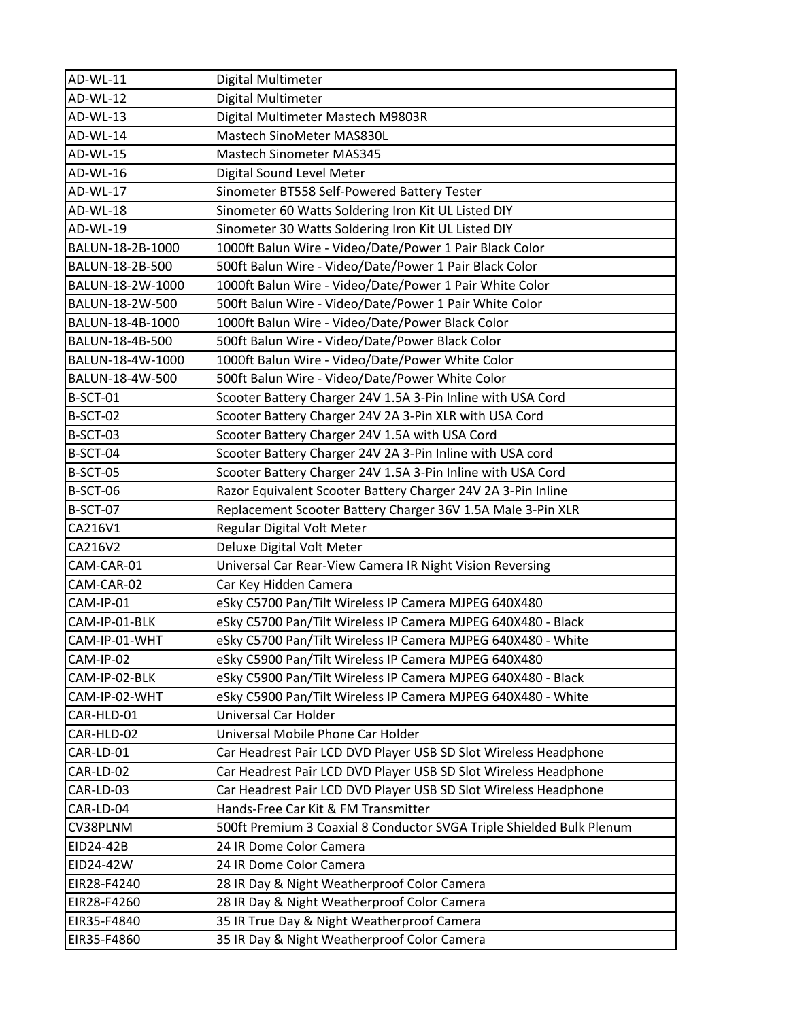| AD-WL-11         | Digital Multimeter                                                   |
|------------------|----------------------------------------------------------------------|
| AD-WL-12         | Digital Multimeter                                                   |
| AD-WL-13         | Digital Multimeter Mastech M9803R                                    |
| AD-WL-14         | Mastech SinoMeter MAS830L                                            |
| AD-WL-15         | Mastech Sinometer MAS345                                             |
| AD-WL-16         | Digital Sound Level Meter                                            |
| AD-WL-17         | Sinometer BT558 Self-Powered Battery Tester                          |
| AD-WL-18         | Sinometer 60 Watts Soldering Iron Kit UL Listed DIY                  |
| AD-WL-19         | Sinometer 30 Watts Soldering Iron Kit UL Listed DIY                  |
| BALUN-18-2B-1000 | 1000ft Balun Wire - Video/Date/Power 1 Pair Black Color              |
| BALUN-18-2B-500  | 500ft Balun Wire - Video/Date/Power 1 Pair Black Color               |
| BALUN-18-2W-1000 | 1000ft Balun Wire - Video/Date/Power 1 Pair White Color              |
| BALUN-18-2W-500  | 500ft Balun Wire - Video/Date/Power 1 Pair White Color               |
| BALUN-18-4B-1000 | 1000ft Balun Wire - Video/Date/Power Black Color                     |
| BALUN-18-4B-500  | 500ft Balun Wire - Video/Date/Power Black Color                      |
| BALUN-18-4W-1000 | 1000ft Balun Wire - Video/Date/Power White Color                     |
| BALUN-18-4W-500  | 500ft Balun Wire - Video/Date/Power White Color                      |
| <b>B-SCT-01</b>  | Scooter Battery Charger 24V 1.5A 3-Pin Inline with USA Cord          |
| <b>B-SCT-02</b>  | Scooter Battery Charger 24V 2A 3-Pin XLR with USA Cord               |
| <b>B-SCT-03</b>  | Scooter Battery Charger 24V 1.5A with USA Cord                       |
| B-SCT-04         | Scooter Battery Charger 24V 2A 3-Pin Inline with USA cord            |
| <b>B-SCT-05</b>  | Scooter Battery Charger 24V 1.5A 3-Pin Inline with USA Cord          |
| <b>B-SCT-06</b>  | Razor Equivalent Scooter Battery Charger 24V 2A 3-Pin Inline         |
| <b>B-SCT-07</b>  | Replacement Scooter Battery Charger 36V 1.5A Male 3-Pin XLR          |
| CA216V1          | Regular Digital Volt Meter                                           |
| CA216V2          | Deluxe Digital Volt Meter                                            |
| CAM-CAR-01       | Universal Car Rear-View Camera IR Night Vision Reversing             |
| CAM-CAR-02       | Car Key Hidden Camera                                                |
| CAM-IP-01        | eSky C5700 Pan/Tilt Wireless IP Camera MJPEG 640X480                 |
| CAM-IP-01-BLK    | eSky C5700 Pan/Tilt Wireless IP Camera MJPEG 640X480 - Black         |
| CAM-IP-01-WHT    | eSky C5700 Pan/Tilt Wireless IP Camera MJPEG 640X480 - White         |
| CAM-IP-02        | eSky C5900 Pan/Tilt Wireless IP Camera MJPEG 640X480                 |
| CAM-IP-02-BLK    | eSky C5900 Pan/Tilt Wireless IP Camera MJPEG 640X480 - Black         |
| CAM-IP-02-WHT    | eSky C5900 Pan/Tilt Wireless IP Camera MJPEG 640X480 - White         |
| CAR-HLD-01       | Universal Car Holder                                                 |
| CAR-HLD-02       | Universal Mobile Phone Car Holder                                    |
| CAR-LD-01        | Car Headrest Pair LCD DVD Player USB SD Slot Wireless Headphone      |
| CAR-LD-02        | Car Headrest Pair LCD DVD Player USB SD Slot Wireless Headphone      |
| CAR-LD-03        | Car Headrest Pair LCD DVD Player USB SD Slot Wireless Headphone      |
| CAR-LD-04        | Hands-Free Car Kit & FM Transmitter                                  |
| CV38PLNM         | 500ft Premium 3 Coaxial 8 Conductor SVGA Triple Shielded Bulk Plenum |
| EID24-42B        | 24 IR Dome Color Camera                                              |
| EID24-42W        | 24 IR Dome Color Camera                                              |
| EIR28-F4240      | 28 IR Day & Night Weatherproof Color Camera                          |
| EIR28-F4260      | 28 IR Day & Night Weatherproof Color Camera                          |
| EIR35-F4840      | 35 IR True Day & Night Weatherproof Camera                           |
| EIR35-F4860      | 35 IR Day & Night Weatherproof Color Camera                          |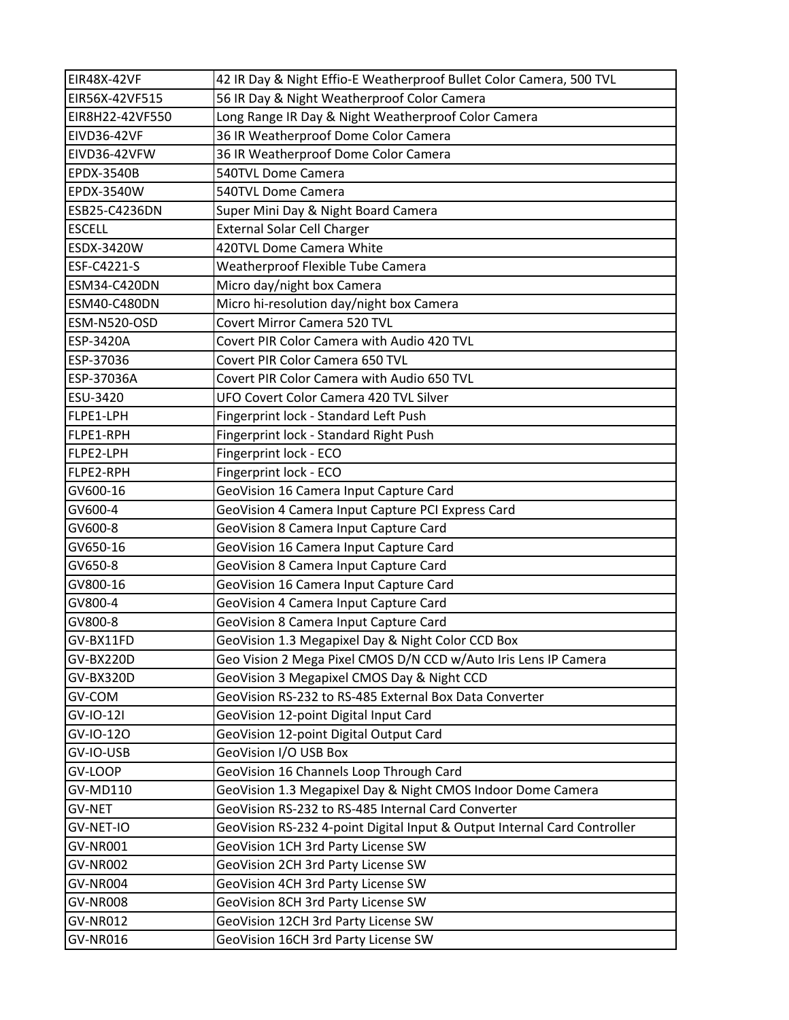| EIR48X-42VF        | 42 IR Day & Night Effio-E Weatherproof Bullet Color Camera, 500 TVL      |
|--------------------|--------------------------------------------------------------------------|
| EIR56X-42VF515     | 56 IR Day & Night Weatherproof Color Camera                              |
| EIR8H22-42VF550    | Long Range IR Day & Night Weatherproof Color Camera                      |
| <b>EIVD36-42VF</b> | 36 IR Weatherproof Dome Color Camera                                     |
| EIVD36-42VFW       | 36 IR Weatherproof Dome Color Camera                                     |
| <b>EPDX-3540B</b>  | 540TVL Dome Camera                                                       |
| EPDX-3540W         | 540TVL Dome Camera                                                       |
| ESB25-C4236DN      | Super Mini Day & Night Board Camera                                      |
| <b>ESCELL</b>      | <b>External Solar Cell Charger</b>                                       |
| ESDX-3420W         | 420TVL Dome Camera White                                                 |
| ESF-C4221-S        | Weatherproof Flexible Tube Camera                                        |
| ESM34-C420DN       | Micro day/night box Camera                                               |
| ESM40-C480DN       | Micro hi-resolution day/night box Camera                                 |
| ESM-N520-OSD       | Covert Mirror Camera 520 TVL                                             |
| ESP-3420A          | Covert PIR Color Camera with Audio 420 TVL                               |
| ESP-37036          | Covert PIR Color Camera 650 TVL                                          |
| ESP-37036A         | Covert PIR Color Camera with Audio 650 TVL                               |
| ESU-3420           | UFO Covert Color Camera 420 TVL Silver                                   |
| FLPE1-LPH          | Fingerprint lock - Standard Left Push                                    |
| FLPE1-RPH          | Fingerprint lock - Standard Right Push                                   |
| FLPE2-LPH          | Fingerprint lock - ECO                                                   |
| FLPE2-RPH          | Fingerprint lock - ECO                                                   |
| GV600-16           | GeoVision 16 Camera Input Capture Card                                   |
| GV600-4            | GeoVision 4 Camera Input Capture PCI Express Card                        |
| GV600-8            | GeoVision 8 Camera Input Capture Card                                    |
| GV650-16           | GeoVision 16 Camera Input Capture Card                                   |
| GV650-8            | GeoVision 8 Camera Input Capture Card                                    |
| GV800-16           | GeoVision 16 Camera Input Capture Card                                   |
| GV800-4            | GeoVision 4 Camera Input Capture Card                                    |
| GV800-8            | GeoVision 8 Camera Input Capture Card                                    |
| GV-BX11FD          | GeoVision 1.3 Megapixel Day & Night Color CCD Box                        |
| GV-BX220D          | Geo Vision 2 Mega Pixel CMOS D/N CCD w/Auto Iris Lens IP Camera          |
| GV-BX320D          | GeoVision 3 Megapixel CMOS Day & Night CCD                               |
| GV-COM             | GeoVision RS-232 to RS-485 External Box Data Converter                   |
| GV-IO-12I          | GeoVision 12-point Digital Input Card                                    |
| GV-IO-120          | GeoVision 12-point Digital Output Card                                   |
| GV-IO-USB          | GeoVision I/O USB Box                                                    |
| GV-LOOP            | GeoVision 16 Channels Loop Through Card                                  |
| GV-MD110           | GeoVision 1.3 Megapixel Day & Night CMOS Indoor Dome Camera              |
| <b>GV-NET</b>      | GeoVision RS-232 to RS-485 Internal Card Converter                       |
| GV-NET-IO          | GeoVision RS-232 4-point Digital Input & Output Internal Card Controller |
| GV-NR001           | GeoVision 1CH 3rd Party License SW                                       |
| GV-NR002           | GeoVision 2CH 3rd Party License SW                                       |
| GV-NR004           | GeoVision 4CH 3rd Party License SW                                       |
| <b>GV-NR008</b>    | GeoVision 8CH 3rd Party License SW                                       |
| <b>GV-NR012</b>    | GeoVision 12CH 3rd Party License SW                                      |
| GV-NR016           | GeoVision 16CH 3rd Party License SW                                      |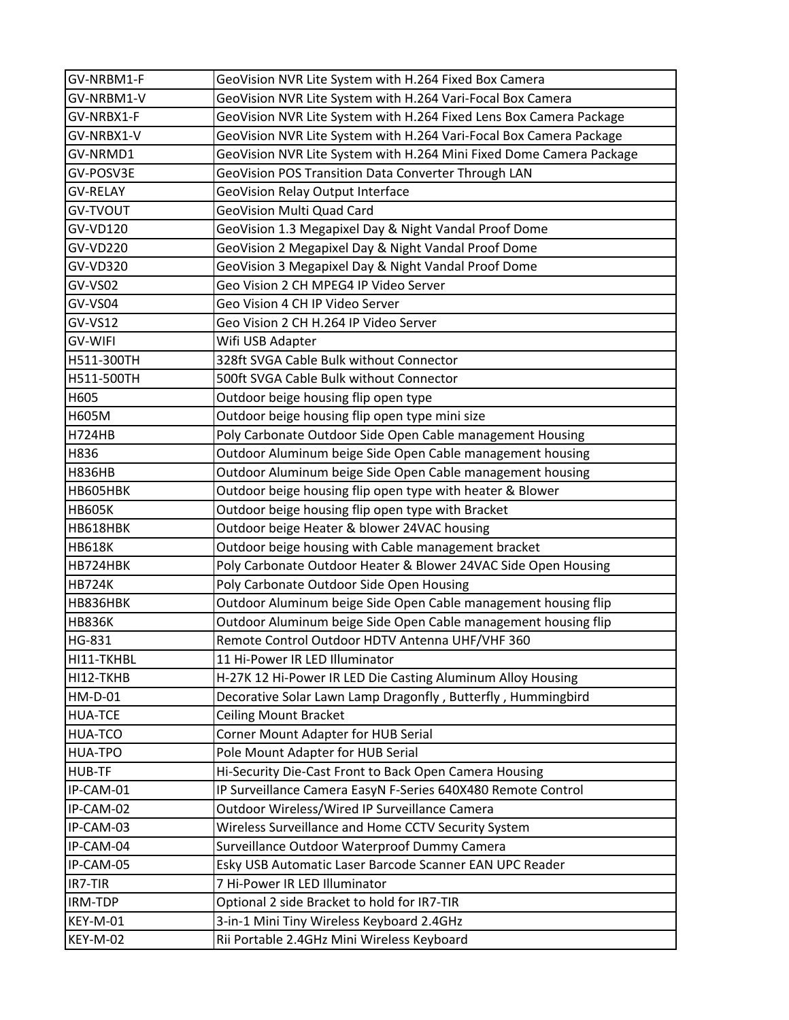| GV-NRBM1-F      | GeoVision NVR Lite System with H.264 Fixed Box Camera               |
|-----------------|---------------------------------------------------------------------|
| GV-NRBM1-V      | GeoVision NVR Lite System with H.264 Vari-Focal Box Camera          |
| GV-NRBX1-F      | GeoVision NVR Lite System with H.264 Fixed Lens Box Camera Package  |
| GV-NRBX1-V      | GeoVision NVR Lite System with H.264 Vari-Focal Box Camera Package  |
| GV-NRMD1        | GeoVision NVR Lite System with H.264 Mini Fixed Dome Camera Package |
| GV-POSV3E       | GeoVision POS Transition Data Converter Through LAN                 |
| <b>GV-RELAY</b> | GeoVision Relay Output Interface                                    |
| <b>GV-TVOUT</b> | GeoVision Multi Quad Card                                           |
| GV-VD120        | GeoVision 1.3 Megapixel Day & Night Vandal Proof Dome               |
| GV-VD220        | GeoVision 2 Megapixel Day & Night Vandal Proof Dome                 |
| GV-VD320        | GeoVision 3 Megapixel Day & Night Vandal Proof Dome                 |
| GV-VS02         | Geo Vision 2 CH MPEG4 IP Video Server                               |
| GV-VS04         | Geo Vision 4 CH IP Video Server                                     |
| <b>GV-VS12</b>  | Geo Vision 2 CH H.264 IP Video Server                               |
| <b>GV-WIFI</b>  | Wifi USB Adapter                                                    |
| H511-300TH      | 328ft SVGA Cable Bulk without Connector                             |
| H511-500TH      | 500ft SVGA Cable Bulk without Connector                             |
| H605            | Outdoor beige housing flip open type                                |
| H605M           | Outdoor beige housing flip open type mini size                      |
| <b>H724HB</b>   | Poly Carbonate Outdoor Side Open Cable management Housing           |
| H836            | Outdoor Aluminum beige Side Open Cable management housing           |
| <b>H836HB</b>   | Outdoor Aluminum beige Side Open Cable management housing           |
| HB605HBK        | Outdoor beige housing flip open type with heater & Blower           |
| <b>HB605K</b>   | Outdoor beige housing flip open type with Bracket                   |
| HB618HBK        | Outdoor beige Heater & blower 24VAC housing                         |
| <b>HB618K</b>   | Outdoor beige housing with Cable management bracket                 |
| HB724HBK        | Poly Carbonate Outdoor Heater & Blower 24VAC Side Open Housing      |
| <b>HB724K</b>   | Poly Carbonate Outdoor Side Open Housing                            |
| HB836HBK        | Outdoor Aluminum beige Side Open Cable management housing flip      |
| <b>HB836K</b>   | Outdoor Aluminum beige Side Open Cable management housing flip      |
| <b>HG-831</b>   | Remote Control Outdoor HDTV Antenna UHF/VHF 360                     |
| HI11-TKHBL      | 11 Hi-Power IR LED Illuminator                                      |
| HI12-TKHB       | H-27K 12 Hi-Power IR LED Die Casting Aluminum Alloy Housing         |
| HM-D-01         | Decorative Solar Lawn Lamp Dragonfly, Butterfly, Hummingbird        |
| <b>HUA-TCE</b>  | <b>Ceiling Mount Bracket</b>                                        |
| <b>HUA-TCO</b>  | Corner Mount Adapter for HUB Serial                                 |
| HUA-TPO         | Pole Mount Adapter for HUB Serial                                   |
| <b>HUB-TF</b>   | Hi-Security Die-Cast Front to Back Open Camera Housing              |
| IP-CAM-01       | IP Surveillance Camera EasyN F-Series 640X480 Remote Control        |
| IP-CAM-02       | Outdoor Wireless/Wired IP Surveillance Camera                       |
| IP-CAM-03       | Wireless Surveillance and Home CCTV Security System                 |
| IP-CAM-04       | Surveillance Outdoor Waterproof Dummy Camera                        |
| IP-CAM-05       | Esky USB Automatic Laser Barcode Scanner EAN UPC Reader             |
| IR7-TIR         | 7 Hi-Power IR LED Illuminator                                       |
| IRM-TDP         | Optional 2 side Bracket to hold for IR7-TIR                         |
| <b>KEY-M-01</b> | 3-in-1 Mini Tiny Wireless Keyboard 2.4GHz                           |
| <b>KEY-M-02</b> | Rii Portable 2.4GHz Mini Wireless Keyboard                          |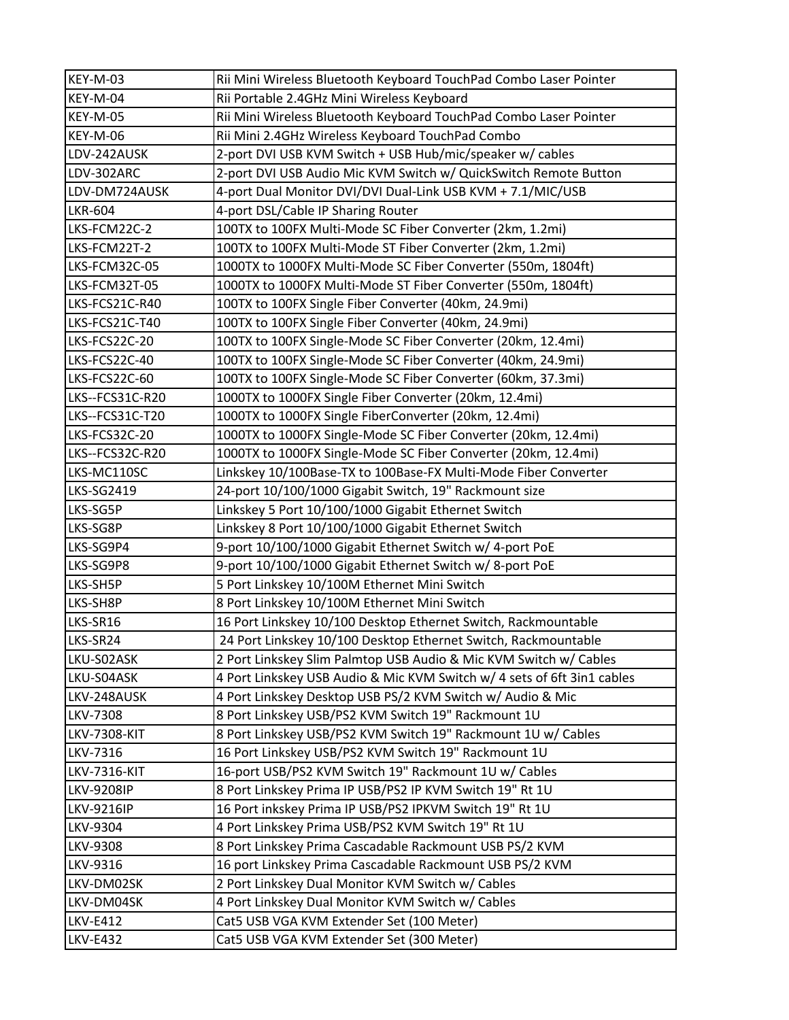| KEY-M-03            | Rii Mini Wireless Bluetooth Keyboard TouchPad Combo Laser Pointer       |
|---------------------|-------------------------------------------------------------------------|
| KEY-M-04            | Rii Portable 2.4GHz Mini Wireless Keyboard                              |
| KEY-M-05            | Rii Mini Wireless Bluetooth Keyboard TouchPad Combo Laser Pointer       |
| KEY-M-06            | Rii Mini 2.4GHz Wireless Keyboard TouchPad Combo                        |
| LDV-242AUSK         | 2-port DVI USB KVM Switch + USB Hub/mic/speaker w/ cables               |
| LDV-302ARC          | 2-port DVI USB Audio Mic KVM Switch w/ QuickSwitch Remote Button        |
| LDV-DM724AUSK       | 4-port Dual Monitor DVI/DVI Dual-Link USB KVM + 7.1/MIC/USB             |
| <b>LKR-604</b>      | 4-port DSL/Cable IP Sharing Router                                      |
| LKS-FCM22C-2        | 100TX to 100FX Multi-Mode SC Fiber Converter (2km, 1.2mi)               |
| LKS-FCM22T-2        | 100TX to 100FX Multi-Mode ST Fiber Converter (2km, 1.2mi)               |
| LKS-FCM32C-05       | 1000TX to 1000FX Multi-Mode SC Fiber Converter (550m, 1804ft)           |
| LKS-FCM32T-05       | 1000TX to 1000FX Multi-Mode ST Fiber Converter (550m, 1804ft)           |
| LKS-FCS21C-R40      | 100TX to 100FX Single Fiber Converter (40km, 24.9mi)                    |
| LKS-FCS21C-T40      | 100TX to 100FX Single Fiber Converter (40km, 24.9mi)                    |
| LKS-FCS22C-20       | 100TX to 100FX Single-Mode SC Fiber Converter (20km, 12.4mi)            |
| LKS-FCS22C-40       | 100TX to 100FX Single-Mode SC Fiber Converter (40km, 24.9mi)            |
| LKS-FCS22C-60       | 100TX to 100FX Single-Mode SC Fiber Converter (60km, 37.3mi)            |
| LKS--FCS31C-R20     | 1000TX to 1000FX Single Fiber Converter (20km, 12.4mi)                  |
| LKS--FCS31C-T20     | 1000TX to 1000FX Single FiberConverter (20km, 12.4mi)                   |
| LKS-FCS32C-20       | 1000TX to 1000FX Single-Mode SC Fiber Converter (20km, 12.4mi)          |
| LKS--FCS32C-R20     | 1000TX to 1000FX Single-Mode SC Fiber Converter (20km, 12.4mi)          |
| LKS-MC110SC         | Linkskey 10/100Base-TX to 100Base-FX Multi-Mode Fiber Converter         |
| <b>LKS-SG2419</b>   | 24-port 10/100/1000 Gigabit Switch, 19" Rackmount size                  |
| LKS-SG5P            | Linkskey 5 Port 10/100/1000 Gigabit Ethernet Switch                     |
| LKS-SG8P            | Linkskey 8 Port 10/100/1000 Gigabit Ethernet Switch                     |
| LKS-SG9P4           | 9-port 10/100/1000 Gigabit Ethernet Switch w/ 4-port PoE                |
| LKS-SG9P8           | 9-port 10/100/1000 Gigabit Ethernet Switch w/ 8-port PoE                |
| LKS-SH5P            | 5 Port Linkskey 10/100M Ethernet Mini Switch                            |
| LKS-SH8P            | 8 Port Linkskey 10/100M Ethernet Mini Switch                            |
| LKS-SR16            | 16 Port Linkskey 10/100 Desktop Ethernet Switch, Rackmountable          |
| LKS-SR24            | 24 Port Linkskey 10/100 Desktop Ethernet Switch, Rackmountable          |
| LKU-S02ASK          | 2 Port Linkskey Slim Palmtop USB Audio & Mic KVM Switch w/ Cables       |
| LKU-S04ASK          | 4 Port Linkskey USB Audio & Mic KVM Switch w/ 4 sets of 6ft 3in1 cables |
| LKV-248AUSK         | 4 Port Linkskey Desktop USB PS/2 KVM Switch w/ Audio & Mic              |
| <b>LKV-7308</b>     | 8 Port Linkskey USB/PS2 KVM Switch 19" Rackmount 1U                     |
| <b>LKV-7308-KIT</b> | 8 Port Linkskey USB/PS2 KVM Switch 19" Rackmount 1U w/ Cables           |
| LKV-7316            | 16 Port Linkskey USB/PS2 KVM Switch 19" Rackmount 1U                    |
| <b>LKV-7316-KIT</b> | 16-port USB/PS2 KVM Switch 19" Rackmount 1U w/ Cables                   |
| <b>LKV-9208IP</b>   | 8 Port Linkskey Prima IP USB/PS2 IP KVM Switch 19" Rt 1U                |
| <b>LKV-9216IP</b>   | 16 Port inkskey Prima IP USB/PS2 IPKVM Switch 19" Rt 1U                 |
| LKV-9304            | 4 Port Linkskey Prima USB/PS2 KVM Switch 19" Rt 1U                      |
| LKV-9308            | 8 Port Linkskey Prima Cascadable Rackmount USB PS/2 KVM                 |
| LKV-9316            | 16 port Linkskey Prima Cascadable Rackmount USB PS/2 KVM                |
| LKV-DM02SK          | 2 Port Linkskey Dual Monitor KVM Switch w/ Cables                       |
| LKV-DM04SK          | 4 Port Linkskey Dual Monitor KVM Switch w/ Cables                       |
| <b>LKV-E412</b>     | Cat5 USB VGA KVM Extender Set (100 Meter)                               |
| <b>LKV-E432</b>     | Cat5 USB VGA KVM Extender Set (300 Meter)                               |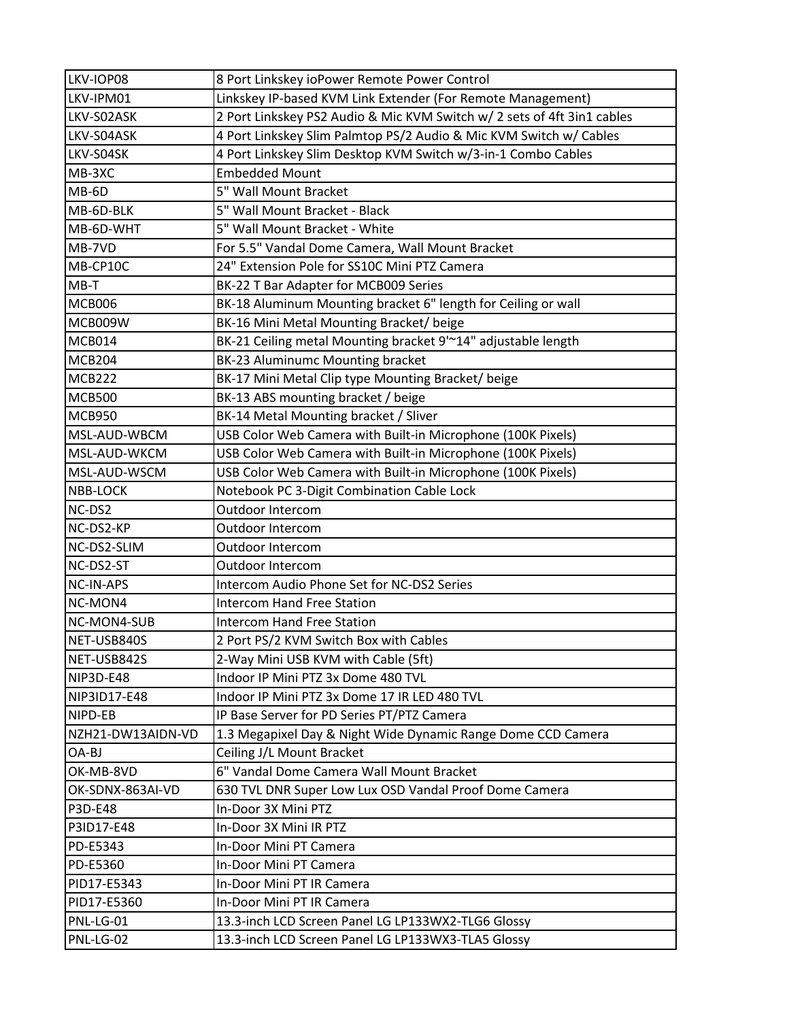| LKV-IOP08         | 8 Port Linkskey ioPower Remote Power Control                            |
|-------------------|-------------------------------------------------------------------------|
| LKV-IPM01         | Linkskey IP-based KVM Link Extender (For Remote Management)             |
| LKV-S02ASK        | 2 Port Linkskey PS2 Audio & Mic KVM Switch w/ 2 sets of 4ft 3in1 cables |
| LKV-S04ASK        | 4 Port Linkskey Slim Palmtop PS/2 Audio & Mic KVM Switch w/ Cables      |
| LKV-S04SK         | 4 Port Linkskey Slim Desktop KVM Switch w/3-in-1 Combo Cables           |
| MB-3XC            | <b>Embedded Mount</b>                                                   |
| MB-6D             | 5" Wall Mount Bracket                                                   |
| MB-6D-BLK         | 5" Wall Mount Bracket - Black                                           |
| MB-6D-WHT         | 5" Wall Mount Bracket - White                                           |
| MB-7VD            | For 5.5" Vandal Dome Camera, Wall Mount Bracket                         |
| MB-CP10C          | 24" Extension Pole for SS10C Mini PTZ Camera                            |
| $MB-T$            | BK-22 T Bar Adapter for MCB009 Series                                   |
| <b>MCB006</b>     | BK-18 Aluminum Mounting bracket 6" length for Ceiling or wall           |
| MCB009W           | BK-16 Mini Metal Mounting Bracket/ beige                                |
| <b>MCB014</b>     | BK-21 Ceiling metal Mounting bracket 9'~14" adjustable length           |
| <b>MCB204</b>     | BK-23 Aluminumc Mounting bracket                                        |
| <b>MCB222</b>     | BK-17 Mini Metal Clip type Mounting Bracket/beige                       |
| <b>MCB500</b>     | BK-13 ABS mounting bracket / beige                                      |
| <b>MCB950</b>     | BK-14 Metal Mounting bracket / Sliver                                   |
| MSL-AUD-WBCM      | USB Color Web Camera with Built-in Microphone (100K Pixels)             |
| MSL-AUD-WKCM      | USB Color Web Camera with Built-in Microphone (100K Pixels)             |
| MSL-AUD-WSCM      | USB Color Web Camera with Built-in Microphone (100K Pixels)             |
| <b>NBB-LOCK</b>   | Notebook PC 3-Digit Combination Cable Lock                              |
| NC-DS2            | Outdoor Intercom                                                        |
| NC-DS2-KP         | Outdoor Intercom                                                        |
| NC-DS2-SLIM       | Outdoor Intercom                                                        |
| NC-DS2-ST         | <b>Outdoor Intercom</b>                                                 |
| NC-IN-APS         | Intercom Audio Phone Set for NC-DS2 Series                              |
| NC-MON4           | <b>Intercom Hand Free Station</b>                                       |
| NC-MON4-SUB       | <b>Intercom Hand Free Station</b>                                       |
| NET-USB840S       | 2 Port PS/2 KVM Switch Box with Cables                                  |
| NET-USB842S       | 2-Way Mini USB KVM with Cable (5ft)                                     |
| NIP3D-E48         | Indoor IP Mini PTZ 3x Dome 480 TVL                                      |
| NIP3ID17-E48      | Indoor IP Mini PTZ 3x Dome 17 IR LED 480 TVL                            |
| NIPD-EB           | IP Base Server for PD Series PT/PTZ Camera                              |
| NZH21-DW13AIDN-VD | 1.3 Megapixel Day & Night Wide Dynamic Range Dome CCD Camera            |
| OA-BJ             | Ceiling J/L Mount Bracket                                               |
| OK-MB-8VD         | 6" Vandal Dome Camera Wall Mount Bracket                                |
| OK-SDNX-863AI-VD  | 630 TVL DNR Super Low Lux OSD Vandal Proof Dome Camera                  |
| P3D-E48           | In-Door 3X Mini PTZ                                                     |
| P3ID17-E48        | In-Door 3X Mini IR PTZ                                                  |
| PD-E5343          | In-Door Mini PT Camera                                                  |
| PD-E5360          | In-Door Mini PT Camera                                                  |
| PID17-E5343       | In-Door Mini PT IR Camera                                               |
| PID17-E5360       | In-Door Mini PT IR Camera                                               |
| PNL-LG-01         | 13.3-inch LCD Screen Panel LG LP133WX2-TLG6 Glossy                      |
| PNL-LG-02         | 13.3-inch LCD Screen Panel LG LP133WX3-TLA5 Glossy                      |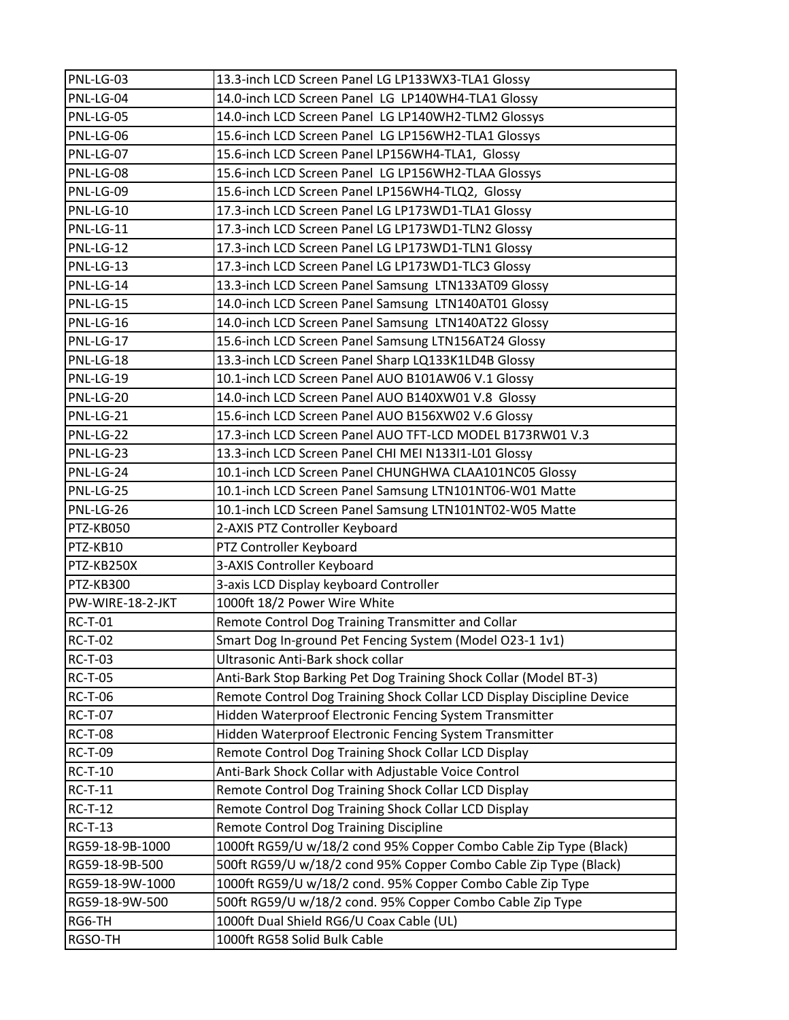| PNL-LG-03        | 13.3-inch LCD Screen Panel LG LP133WX3-TLA1 Glossy                     |
|------------------|------------------------------------------------------------------------|
| PNL-LG-04        | 14.0-inch LCD Screen Panel LG LP140WH4-TLA1 Glossy                     |
| PNL-LG-05        | 14.0-inch LCD Screen Panel LG LP140WH2-TLM2 Glossys                    |
| PNL-LG-06        | 15.6-inch LCD Screen Panel LG LP156WH2-TLA1 Glossys                    |
| PNL-LG-07        | 15.6-inch LCD Screen Panel LP156WH4-TLA1, Glossy                       |
| PNL-LG-08        | 15.6-inch LCD Screen Panel LG LP156WH2-TLAA Glossys                    |
| PNL-LG-09        | 15.6-inch LCD Screen Panel LP156WH4-TLQ2, Glossy                       |
| PNL-LG-10        | 17.3-inch LCD Screen Panel LG LP173WD1-TLA1 Glossy                     |
| PNL-LG-11        | 17.3-inch LCD Screen Panel LG LP173WD1-TLN2 Glossy                     |
| PNL-LG-12        | 17.3-inch LCD Screen Panel LG LP173WD1-TLN1 Glossy                     |
| PNL-LG-13        | 17.3-inch LCD Screen Panel LG LP173WD1-TLC3 Glossy                     |
| PNL-LG-14        | 13.3-inch LCD Screen Panel Samsung LTN133AT09 Glossy                   |
| PNL-LG-15        | 14.0-inch LCD Screen Panel Samsung LTN140AT01 Glossy                   |
| PNL-LG-16        | 14.0-inch LCD Screen Panel Samsung LTN140AT22 Glossy                   |
| PNL-LG-17        | 15.6-inch LCD Screen Panel Samsung LTN156AT24 Glossy                   |
| PNL-LG-18        | 13.3-inch LCD Screen Panel Sharp LQ133K1LD4B Glossy                    |
| PNL-LG-19        | 10.1-inch LCD Screen Panel AUO B101AW06 V.1 Glossy                     |
| PNL-LG-20        | 14.0-inch LCD Screen Panel AUO B140XW01 V.8 Glossy                     |
| PNL-LG-21        | 15.6-inch LCD Screen Panel AUO B156XW02 V.6 Glossy                     |
| PNL-LG-22        | 17.3-inch LCD Screen Panel AUO TFT-LCD MODEL B173RW01 V.3              |
| PNL-LG-23        | 13.3-inch LCD Screen Panel CHI MEI N133I1-L01 Glossy                   |
| PNL-LG-24        | 10.1-inch LCD Screen Panel CHUNGHWA CLAA101NC05 Glossy                 |
| PNL-LG-25        | 10.1-inch LCD Screen Panel Samsung LTN101NT06-W01 Matte                |
| PNL-LG-26        | 10.1-inch LCD Screen Panel Samsung LTN101NT02-W05 Matte                |
| PTZ-KB050        | 2-AXIS PTZ Controller Keyboard                                         |
| PTZ-KB10         | PTZ Controller Keyboard                                                |
| PTZ-KB250X       | 3-AXIS Controller Keyboard                                             |
| PTZ-KB300        | 3-axis LCD Display keyboard Controller                                 |
| PW-WIRE-18-2-JKT | 1000ft 18/2 Power Wire White                                           |
| <b>RC-T-01</b>   | Remote Control Dog Training Transmitter and Collar                     |
| <b>RC-T-02</b>   | Smart Dog In-ground Pet Fencing System (Model O23-1 1v1)               |
| <b>RC-T-03</b>   | Ultrasonic Anti-Bark shock collar                                      |
| <b>RC-T-05</b>   | Anti-Bark Stop Barking Pet Dog Training Shock Collar (Model BT-3)      |
| <b>RC-T-06</b>   | Remote Control Dog Training Shock Collar LCD Display Discipline Device |
| <b>RC-T-07</b>   | Hidden Waterproof Electronic Fencing System Transmitter                |
| <b>RC-T-08</b>   | Hidden Waterproof Electronic Fencing System Transmitter                |
| <b>RC-T-09</b>   | Remote Control Dog Training Shock Collar LCD Display                   |
| <b>RC-T-10</b>   | Anti-Bark Shock Collar with Adjustable Voice Control                   |
| <b>RC-T-11</b>   | Remote Control Dog Training Shock Collar LCD Display                   |
| <b>RC-T-12</b>   | Remote Control Dog Training Shock Collar LCD Display                   |
| <b>RC-T-13</b>   | Remote Control Dog Training Discipline                                 |
| RG59-18-9B-1000  | 1000ft RG59/U w/18/2 cond 95% Copper Combo Cable Zip Type (Black)      |
| RG59-18-9B-500   | 500ft RG59/U w/18/2 cond 95% Copper Combo Cable Zip Type (Black)       |
| RG59-18-9W-1000  | 1000ft RG59/U w/18/2 cond. 95% Copper Combo Cable Zip Type             |
| RG59-18-9W-500   | 500ft RG59/U w/18/2 cond. 95% Copper Combo Cable Zip Type              |
| RG6-TH           | 1000ft Dual Shield RG6/U Coax Cable (UL)                               |
| RGSO-TH          | 1000ft RG58 Solid Bulk Cable                                           |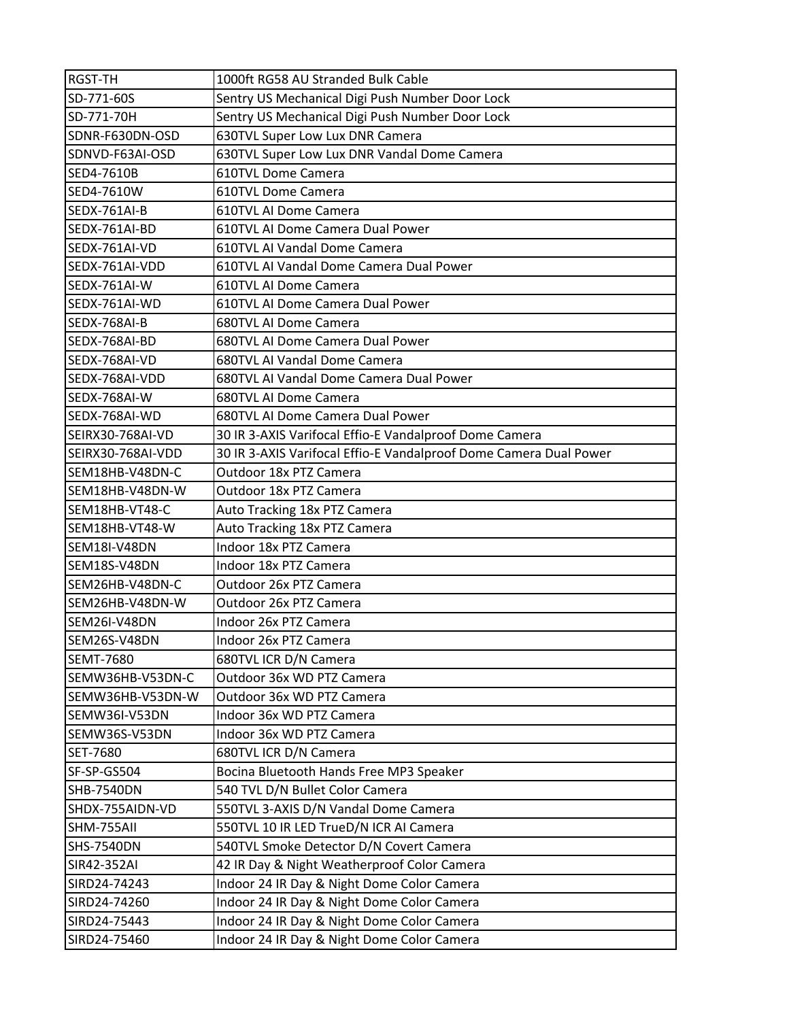| <b>RGST-TH</b>    | 1000ft RG58 AU Stranded Bulk Cable                                |
|-------------------|-------------------------------------------------------------------|
| SD-771-60S        | Sentry US Mechanical Digi Push Number Door Lock                   |
| SD-771-70H        | Sentry US Mechanical Digi Push Number Door Lock                   |
| SDNR-F630DN-OSD   | 630TVL Super Low Lux DNR Camera                                   |
| SDNVD-F63AI-OSD   | 630TVL Super Low Lux DNR Vandal Dome Camera                       |
| SED4-7610B        | 610TVL Dome Camera                                                |
| SED4-7610W        | 610TVL Dome Camera                                                |
| SEDX-761AI-B      | 610TVL AI Dome Camera                                             |
| SEDX-761AI-BD     | 610TVL AI Dome Camera Dual Power                                  |
| SEDX-761AI-VD     | 610TVL AI Vandal Dome Camera                                      |
| SEDX-761AI-VDD    | 610TVL AI Vandal Dome Camera Dual Power                           |
| SEDX-761AI-W      | 610TVL AI Dome Camera                                             |
| SEDX-761AI-WD     | 610TVL AI Dome Camera Dual Power                                  |
| SEDX-768AI-B      | 680TVL AI Dome Camera                                             |
| SEDX-768AI-BD     | 680TVL AI Dome Camera Dual Power                                  |
| SEDX-768AI-VD     | 680TVL AI Vandal Dome Camera                                      |
| SEDX-768AI-VDD    | 680TVL AI Vandal Dome Camera Dual Power                           |
| SEDX-768AI-W      | 680TVL AI Dome Camera                                             |
| SEDX-768AI-WD     | 680TVL AI Dome Camera Dual Power                                  |
| SEIRX30-768AI-VD  | 30 IR 3-AXIS Varifocal Effio-E Vandalproof Dome Camera            |
| SEIRX30-768AI-VDD | 30 IR 3-AXIS Varifocal Effio-E Vandalproof Dome Camera Dual Power |
| SEM18HB-V48DN-C   | Outdoor 18x PTZ Camera                                            |
| SEM18HB-V48DN-W   | Outdoor 18x PTZ Camera                                            |
| SEM18HB-VT48-C    | Auto Tracking 18x PTZ Camera                                      |
| SEM18HB-VT48-W    | Auto Tracking 18x PTZ Camera                                      |
| SEM18I-V48DN      | Indoor 18x PTZ Camera                                             |
| SEM18S-V48DN      | Indoor 18x PTZ Camera                                             |
| SEM26HB-V48DN-C   | Outdoor 26x PTZ Camera                                            |
| SEM26HB-V48DN-W   | Outdoor 26x PTZ Camera                                            |
| SEM26I-V48DN      | Indoor 26x PTZ Camera                                             |
| SEM26S-V48DN      | Indoor 26x PTZ Camera                                             |
| <b>SEMT-7680</b>  | 680TVL ICR D/N Camera                                             |
| SEMW36HB-V53DN-C  | Outdoor 36x WD PTZ Camera                                         |
| SEMW36HB-V53DN-W  | Outdoor 36x WD PTZ Camera                                         |
| SEMW36I-V53DN     | Indoor 36x WD PTZ Camera                                          |
| SEMW36S-V53DN     | Indoor 36x WD PTZ Camera                                          |
| SET-7680          | 680TVL ICR D/N Camera                                             |
| SF-SP-GS504       | Bocina Bluetooth Hands Free MP3 Speaker                           |
| <b>SHB-7540DN</b> | 540 TVL D/N Bullet Color Camera                                   |
| SHDX-755AIDN-VD   | 550TVL 3-AXIS D/N Vandal Dome Camera                              |
| SHM-755All        | 550TVL 10 IR LED TrueD/N ICR AI Camera                            |
| <b>SHS-7540DN</b> | 540TVL Smoke Detector D/N Covert Camera                           |
| SIR42-352AI       | 42 IR Day & Night Weatherproof Color Camera                       |
| SIRD24-74243      | Indoor 24 IR Day & Night Dome Color Camera                        |
| SIRD24-74260      | Indoor 24 IR Day & Night Dome Color Camera                        |
| SIRD24-75443      | Indoor 24 IR Day & Night Dome Color Camera                        |
| SIRD24-75460      | Indoor 24 IR Day & Night Dome Color Camera                        |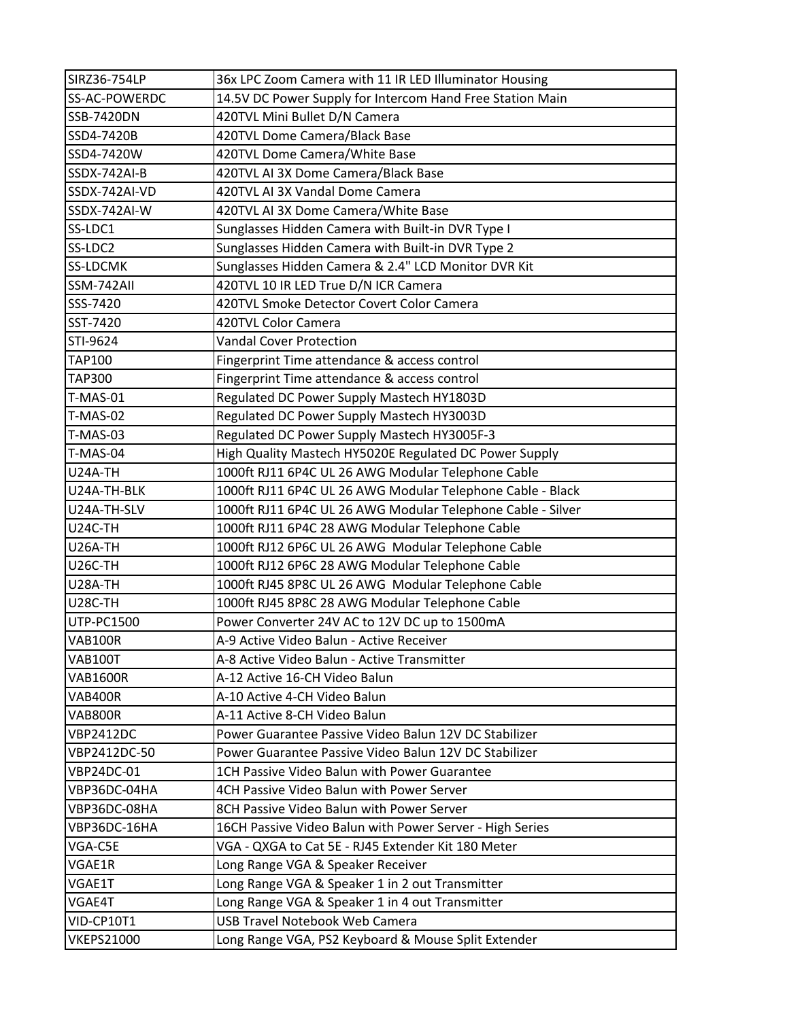| SIRZ36-754LP      | 36x LPC Zoom Camera with 11 IR LED Illuminator Housing      |
|-------------------|-------------------------------------------------------------|
| SS-AC-POWERDC     | 14.5V DC Power Supply for Intercom Hand Free Station Main   |
| <b>SSB-7420DN</b> | 420TVL Mini Bullet D/N Camera                               |
| SSD4-7420B        | 420TVL Dome Camera/Black Base                               |
| SSD4-7420W        | 420TVL Dome Camera/White Base                               |
| SSDX-742AI-B      | 420TVL AI 3X Dome Camera/Black Base                         |
| SSDX-742AI-VD     | 420TVL AI 3X Vandal Dome Camera                             |
| SSDX-742AI-W      | 420TVL AI 3X Dome Camera/White Base                         |
| SS-LDC1           | Sunglasses Hidden Camera with Built-in DVR Type I           |
| SS-LDC2           | Sunglasses Hidden Camera with Built-in DVR Type 2           |
| SS-LDCMK          | Sunglasses Hidden Camera & 2.4" LCD Monitor DVR Kit         |
| SSM-742All        | 420TVL 10 IR LED True D/N ICR Camera                        |
| SSS-7420          | 420TVL Smoke Detector Covert Color Camera                   |
| SST-7420          | 420TVL Color Camera                                         |
| STI-9624          | <b>Vandal Cover Protection</b>                              |
| <b>TAP100</b>     | Fingerprint Time attendance & access control                |
| <b>TAP300</b>     | Fingerprint Time attendance & access control                |
| <b>T-MAS-01</b>   | Regulated DC Power Supply Mastech HY1803D                   |
| <b>T-MAS-02</b>   | Regulated DC Power Supply Mastech HY3003D                   |
| <b>T-MAS-03</b>   | Regulated DC Power Supply Mastech HY3005F-3                 |
| T-MAS-04          | High Quality Mastech HY5020E Regulated DC Power Supply      |
| <b>U24A-TH</b>    | 1000ft RJ11 6P4C UL 26 AWG Modular Telephone Cable          |
| U24A-TH-BLK       | 1000ft RJ11 6P4C UL 26 AWG Modular Telephone Cable - Black  |
| U24A-TH-SLV       | 1000ft RJ11 6P4C UL 26 AWG Modular Telephone Cable - Silver |
| U24C-TH           | 1000ft RJ11 6P4C 28 AWG Modular Telephone Cable             |
| U26A-TH           | 1000ft RJ12 6P6C UL 26 AWG Modular Telephone Cable          |
| <b>U26C-TH</b>    | 1000ft RJ12 6P6C 28 AWG Modular Telephone Cable             |
| U28A-TH           | 1000ft RJ45 8P8C UL 26 AWG Modular Telephone Cable          |
| U28C-TH           | 1000ft RJ45 8P8C 28 AWG Modular Telephone Cable             |
| <b>UTP-PC1500</b> | Power Converter 24V AC to 12V DC up to 1500mA               |
| <b>VAB100R</b>    | A-9 Active Video Balun - Active Receiver                    |
| <b>VAB100T</b>    | A-8 Active Video Balun - Active Transmitter                 |
| <b>VAB1600R</b>   | A-12 Active 16-CH Video Balun                               |
| VAB400R           | A-10 Active 4-CH Video Balun                                |
| VAB800R           | A-11 Active 8-CH Video Balun                                |
| <b>VBP2412DC</b>  | Power Guarantee Passive Video Balun 12V DC Stabilizer       |
| VBP2412DC-50      | Power Guarantee Passive Video Balun 12V DC Stabilizer       |
| <b>VBP24DC-01</b> | 1CH Passive Video Balun with Power Guarantee                |
| VBP36DC-04HA      | 4CH Passive Video Balun with Power Server                   |
| VBP36DC-08HA      | 8CH Passive Video Balun with Power Server                   |
| VBP36DC-16HA      | 16CH Passive Video Balun with Power Server - High Series    |
| VGA-C5E           | VGA - QXGA to Cat 5E - RJ45 Extender Kit 180 Meter          |
| VGAE1R            | Long Range VGA & Speaker Receiver                           |
| VGAE1T            | Long Range VGA & Speaker 1 in 2 out Transmitter             |
| VGAE4T            | Long Range VGA & Speaker 1 in 4 out Transmitter             |
| VID-CP10T1        | <b>USB Travel Notebook Web Camera</b>                       |
| <b>VKEPS21000</b> | Long Range VGA, PS2 Keyboard & Mouse Split Extender         |